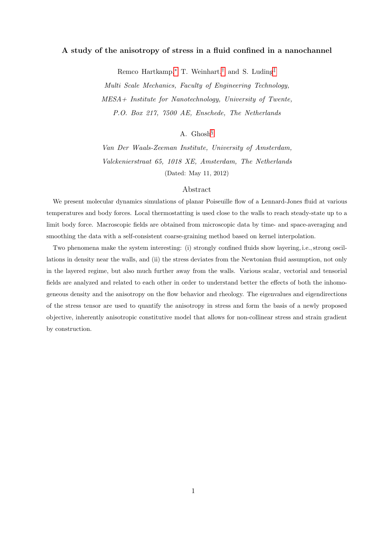## A study of the anisotropy of stress in a fluid confined in a nanochannel

Remco Hartkamp,[∗](#page-38-0) T. Weinhart,[†](#page-38-1) and S. Luding[‡](#page-38-2)

Multi Scale Mechanics, Faculty of Engineering Technology, MESA+ Institute for Nanotechnology, University of Twente, P.O. Box 217, 7500 AE, Enschede, The Netherlands

# A. Ghosh[§](#page-38-3)

Van Der Waals-Zeeman Institute, University of Amsterdam, Valckenierstraat 65, 1018 XE, Amsterdam, The Netherlands (Dated: May 11, 2012)

#### Abstract

We present molecular dynamics simulations of planar Poiseuille flow of a Lennard-Jones fluid at various temperatures and body forces. Local thermostatting is used close to the walls to reach steady-state up to a limit body force. Macroscopic fields are obtained from microscopic data by time- and space-averaging and smoothing the data with a self-consistent coarse-graining method based on kernel interpolation.

Two phenomena make the system interesting: (i) strongly confined fluids show layering, i.e., strong oscillations in density near the walls, and (ii) the stress deviates from the Newtonian fluid assumption, not only in the layered regime, but also much further away from the walls. Various scalar, vectorial and tensorial fields are analyzed and related to each other in order to understand better the effects of both the inhomogeneous density and the anisotropy on the flow behavior and rheology. The eigenvalues and eigendirections of the stress tensor are used to quantify the anisotropy in stress and form the basis of a newly proposed objective, inherently anisotropic constitutive model that allows for non-collinear stress and strain gradient by construction.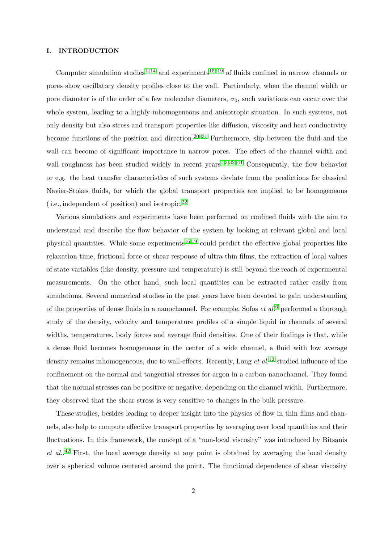### <span id="page-1-0"></span>I. INTRODUCTION

Computer simulation studies<sup>[1–](#page-38-4)[14](#page-38-5)</sup> and experiments<sup>[15](#page-38-6)[–19](#page-38-7)</sup> of fluids confined in narrow channels or pores show oscillatory density profiles close to the wall. Particularly, when the channel width or pore diameter is of the order of a few molecular diameters,  $\sigma_0$ , such variations can occur over the whole system, leading to a highly inhomogeneous and anisotropic situation. In such systems, not only density but also stress and transport properties like diffusion, viscosity and heat conductivity become functions of the position and direction.<sup>[20–](#page-38-8)[31](#page-39-0)</sup> Furthermore, slip between the fluid and the wall can become of significant importance in narrow pores. The effect of the channel width and wall roughness has been studied widely in recent years<sup>[1,](#page-38-4)[3](#page-38-9)[,32](#page-39-1)[–41](#page-39-2)</sup> Consequently, the flow behavior or e.g. the heat transfer characteristics of such systems deviate from the predictions for classical Navier-Stokes fluids, for which the global transport properties are implied to be homogeneous ( i.e., independent of position) and isotropic.[22](#page-38-10)

Various simulations and experiments have been performed on confined fluids with the aim to understand and describe the flow behavior of the system by looking at relevant global and local physical quantities. While some experiments<sup>[16](#page-38-11)[,19](#page-38-7)</sup> could predict the effective global properties like relaxation time, frictional force or shear response of ultra-thin films, the extraction of local values of state variables (like density, pressure and temperature) is still beyond the reach of experimental measurements. On the other hand, such local quantities can be extracted rather easily from simulations. Several numerical studies in the past years have been devoted to gain understanding of the properties of dense fluids in a nanochannel. For example, Sofos  $et al.^6$  $et al.^6$  performed a thorough study of the density, velocity and temperature profiles of a simple liquid in channels of several widths, temperatures, body forces and average fluid densities. One of their findings is that, while a dense fluid becomes homogeneous in the center of a wide channel, a fluid with low average density remains inhomogeneous, due to wall-effects. Recently, Long  $et$  al.<sup>[12](#page-38-13)</sup> studied influence of the confinement on the normal and tangential stresses for argon in a carbon nanochannel. They found that the normal stresses can be positive or negative, depending on the channel width. Furthermore, they observed that the shear stress is very sensitive to changes in the bulk pressure.

These studies, besides leading to deeper insight into the physics of flow in thin films and channels, also help to compute effective transport properties by averaging over local quantities and their fluctuations. In this framework, the concept of a "non-local viscosity" was introduced by Bitsanis  $et \ al.<sup>42</sup>$  $et \ al.<sup>42</sup>$  $et \ al.<sup>42</sup>$  First, the local average density at any point is obtained by averaging the local density over a spherical volume centered around the point. The functional dependence of shear viscosity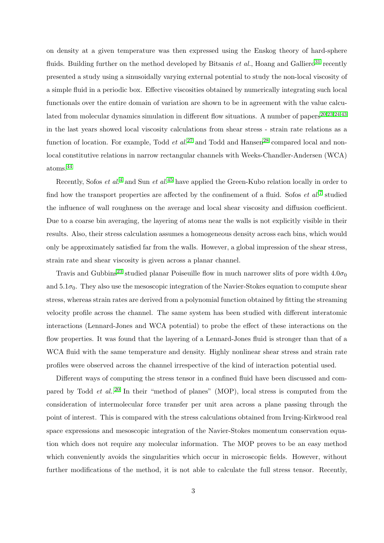on density at a given temperature was then expressed using the Enskog theory of hard-sphere fluids. Building further on the method developed by Bitsanis et al., Hoang and Galliero<sup>[31](#page-39-0)</sup> recently presented a study using a sinusoidally varying external potential to study the non-local viscosity of a simple fluid in a periodic box. Effective viscosities obtained by numerically integrating such local functionals over the entire domain of variation are shown to be in agreement with the value calcu-lated from molecular dynamics simulation in different flow situations. A number of papers<sup>[20,](#page-38-8)[23](#page-38-14)[,24](#page-38-15)[,43](#page-39-4)</sup> in the last years showed local viscosity calculations from shear stress - strain rate relations as a function of location. For example, Todd *et al.*<sup>[27](#page-38-16)</sup> and Todd and Hansen<sup>[28](#page-38-17)</sup> compared local and nonlocal constitutive relations in narrow rectangular channels with Weeks-Chandler-Andersen (WCA) atoms.[44](#page-39-5)

Recently, Sofos *et al.*<sup>[4](#page-38-18)</sup> and Sun *et al.*<sup>[45](#page-39-6)</sup> have applied the Green-Kubo relation locally in order to find how the transport properties are affected by the confinement of a fluid. Sofos  $et al.<sup>7</sup>$  $et al.<sup>7</sup>$  $et al.<sup>7</sup>$  studied the influence of wall roughness on the average and local shear viscosity and diffusion coefficient. Due to a coarse bin averaging, the layering of atoms near the walls is not explicitly visible in their results. Also, their stress calculation assumes a homogeneous density across each bins, which would only be approximately satisfied far from the walls. However, a global impression of the shear stress, strain rate and shear viscosity is given across a planar channel.

Travis and Gubbins<sup>[23](#page-38-14)</sup> studied planar Poiseuille flow in much narrower slits of pore width  $4.0\sigma_0$ and  $5.1\sigma_0$ . They also use the mesoscopic integration of the Navier-Stokes equation to compute shear stress, whereas strain rates are derived from a polynomial function obtained by fitting the streaming velocity profile across the channel. The same system has been studied with different interatomic interactions (Lennard-Jones and WCA potential) to probe the effect of these interactions on the flow properties. It was found that the layering of a Lennard-Jones fluid is stronger than that of a WCA fluid with the same temperature and density. Highly nonlinear shear stress and strain rate profiles were observed across the channel irrespective of the kind of interaction potential used.

Different ways of computing the stress tensor in a confined fluid have been discussed and compared by Todd *et al.*.<sup>[20](#page-38-8)</sup> In their "method of planes" (MOP), local stress is computed from the consideration of intermolecular force transfer per unit area across a plane passing through the point of interest. This is compared with the stress calculations obtained from Irving-Kirkwood real space expressions and mesoscopic integration of the Navier-Stokes momentum conservation equation which does not require any molecular information. The MOP proves to be an easy method which conveniently avoids the singularities which occur in microscopic fields. However, without further modifications of the method, it is not able to calculate the full stress tensor. Recently,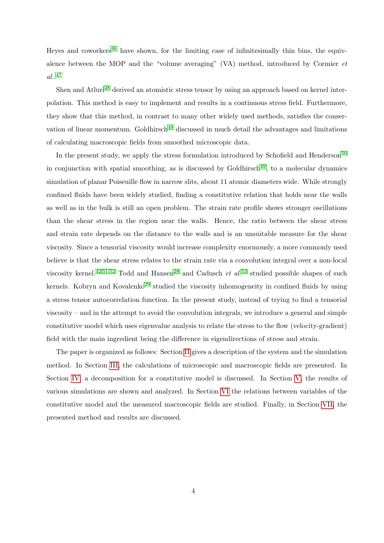Heyes and coworkers<sup>[46](#page-39-7)</sup> have shown, for the limiting case of infinitesimally thin bins, the equivalence between the MOP and the "volume averaging" (VA) method, introduced by Cormier et al.. [47](#page-39-8)

Shen and Atluri<sup>[48](#page-39-9)</sup> derived an atomistic stress tensor by using an approach based on kernel interpolation. This method is easy to implement and results in a continuous stress field. Furthermore, they show that this method, in contrast to many other widely used methods, satisfies the conser-vation of linear momentum. Goldhirsch<sup>[49](#page-39-10)</sup> discussed in much detail the advantages and limitations of calculating macroscopic fields from smoothed microscopic data.

In the present study, we apply the stress formulation introduced by Schofield and Henderson<sup>[50](#page-39-11)</sup> in conjunction with spatial smoothing, as is discussed by Goldhirsch<sup>[49](#page-39-10)</sup>, to a molecular dynamics simulation of planar Poiseuille flow in narrow slits, about 11 atomic diameters wide. While strongly confined fluids have been widely studied, finding a constitutive relation that holds near the walls as well as in the bulk is still an open problem. The strain rate profile shows stronger oscillations than the shear stress in the region near the walls. Hence, the ratio between the shear stress and strain rate depends on the distance to the walls and is an unsuitable measure for the shear viscosity. Since a tensorial viscosity would increase complexity enormously, a more commonly used believe is that the shear stress relates to the strain rate via a convolution integral over a non-local viscosity kernel.<sup>[42,](#page-39-3)[51,](#page-39-12)[52](#page-39-13)</sup> Todd and Hansen<sup>[28](#page-38-17)</sup> and Cadusch *et al.*<sup>[53](#page-39-14)</sup> studied possible shapes of such kernels. Kobryn and Kovalenko<sup>[29](#page-38-20)</sup> studied the viscosity inhomogeneity in confined fluids by using a stress tensor autocorrelation function. In the present study, instead of trying to find a tensorial viscosity – and in the attempt to avoid the convolution integrals, we introduce a general and simple constitutive model which uses eigenvalue analysis to relate the stress to the flow (velocity-gradient) field with the main ingredient being the difference in eigendirections of stress and strain.

The paper is organized as follows: Section [II](#page-4-0) gives a description of the system and the simulation method. In Section [III,](#page-5-0) the calculations of microscopic and macroscopic fields are presented. In Section [IV,](#page-11-0) a decomposition for a constitutive model is discussed. In Section [V,](#page-15-0) the results of various simulations are shown and analyzed. In Section [VI](#page-30-0) the relations between variables of the constitutive model and the measured macroscopic fields are studied. Finally, in Section [VII,](#page-35-0) the presented method and results are discussed.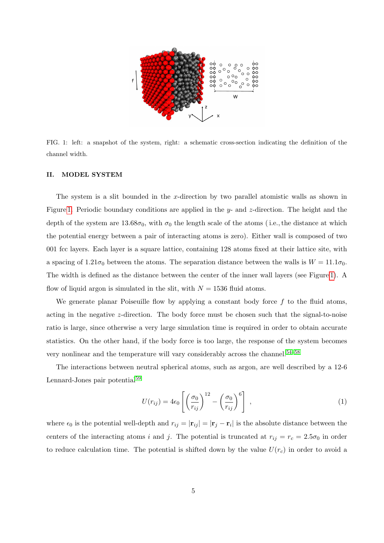

<span id="page-4-1"></span>FIG. 1: left: a snapshot of the system, right: a schematic cross-section indicating the definition of the channel width.

## <span id="page-4-0"></span>II. MODEL SYSTEM

The system is a slit bounded in the x-direction by two parallel atomistic walls as shown in Figure [1.](#page-4-1) Periodic boundary conditions are applied in the y- and z-direction. The height and the depth of the system are  $13.68\sigma_0$ , with  $\sigma_0$  the length scale of the atoms (i.e., the distance at which the potential energy between a pair of interacting atoms is zero). Either wall is composed of two 001 fcc layers. Each layer is a square lattice, containing 128 atoms fixed at their lattice site, with a spacing of  $1.21\sigma_0$  between the atoms. The separation distance between the walls is  $W = 11.1\sigma_0$ . The width is defined as the distance between the center of the inner wall layers (see Figure [1\)](#page-4-1). A flow of liquid argon is simulated in the slit, with  $N = 1536$  fluid atoms.

We generate planar Poiseuille flow by applying a constant body force  $f$  to the fluid atoms, acting in the negative z-direction. The body force must be chosen such that the signal-to-noise ratio is large, since otherwise a very large simulation time is required in order to obtain accurate statistics. On the other hand, if the body force is too large, the response of the system becomes very nonlinear and the temperature will vary considerably across the channel.<sup>[54–](#page-39-15)[58](#page-39-16)</sup>

The interactions between neutral spherical atoms, such as argon, are well described by a 12-6 Lennard-Jones pair potential<sup>[59](#page-39-17)</sup>

$$
U(r_{ij}) = 4\epsilon_0 \left[ \left( \frac{\sigma_0}{r_{ij}} \right)^{12} - \left( \frac{\sigma_0}{r_{ij}} \right)^6 \right], \qquad (1)
$$

where  $\epsilon_0$  is the potential well-depth and  $r_{ij} = |\mathbf{r}_{ij}| = |\mathbf{r}_j - \mathbf{r}_i|$  is the absolute distance between the centers of the interacting atoms i and j. The potential is truncated at  $r_{ij} = r_c = 2.5\sigma_0$  in order to reduce calculation time. The potential is shifted down by the value  $U(r_c)$  in order to avoid a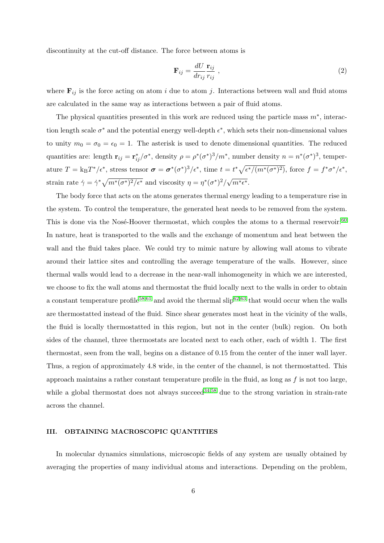discontinuity at the cut-off distance. The force between atoms is

$$
\mathbf{F}_{ij} = \frac{dU}{dr_{ij}} \frac{\mathbf{r}_{ij}}{r_{ij}} \tag{2}
$$

where  $\mathbf{F}_{ij}$  is the force acting on atom i due to atom j. Interactions between wall and fluid atoms are calculated in the same way as interactions between a pair of fluid atoms.

The physical quantities presented in this work are reduced using the particle mass  $m^*$ , interaction length scale  $\sigma^*$  and the potential energy well-depth  $\epsilon^*$ , which sets their non-dimensional values to unity  $m_0 = \sigma_0 = \epsilon_0 = 1$ . The asterisk is used to denote dimensional quantities. The reduced quantities are: length  $\mathbf{r}_{ij} = \mathbf{r}_{ij}^*/\sigma^*$ , density  $\rho = \rho^*(\sigma^*)^3/m^*$ , number density  $n = n^*(\sigma^*)^3$ , temperature  $T = k_B T^*/\epsilon^*$ , stress tensor  $\sigma = \sigma^* (\sigma^*)^3 / \epsilon^*$ , time  $t = t^* \sqrt{\epsilon^* / (m^* (\sigma^*)^2)}$ , force  $f = f^* \sigma^* / \epsilon^*$ , strain rate  $\dot{\gamma} = \dot{\gamma}^* \sqrt{m^*(\sigma^*)^2/\epsilon^*}$  and viscosity  $\eta = \eta^*(\sigma^*)^2/\sqrt{2\pi\sqrt{m^*}(\sigma^*)^2/\epsilon^*}$  $\overline{m^*\epsilon^*}.$ 

The body force that acts on the atoms generates thermal energy leading to a temperature rise in the system. To control the temperature, the generated heat needs to be removed from the system. This is done via the Nosé-Hoover thermostat, which couples the atoms to a thermal reservoir.<sup>[60](#page-39-18)</sup> In nature, heat is transported to the walls and the exchange of momentum and heat between the wall and the fluid takes place. We could try to mimic nature by allowing wall atoms to vibrate around their lattice sites and controlling the average temperature of the walls. However, since thermal walls would lead to a decrease in the near-wall inhomogeneity in which we are interested, we choose to fix the wall atoms and thermostat the fluid locally next to the walls in order to obtain a constant temperature profile<sup>[58](#page-39-16)[,61](#page-39-19)</sup> and avoid the thermal  $\text{slip}^{62,63}$  $\text{slip}^{62,63}$  $\text{slip}^{62,63}$  $\text{slip}^{62,63}$  that would occur when the walls are thermostatted instead of the fluid. Since shear generates most heat in the vicinity of the walls, the fluid is locally thermostatted in this region, but not in the center (bulk) region. On both sides of the channel, three thermostats are located next to each other, each of width 1. The first thermostat, seen from the wall, begins on a distance of 0.15 from the center of the inner wall layer. Thus, a region of approximately 4.8 wide, in the center of the channel, is not thermostatted. This approach maintains a rather constant temperature profile in the fluid, as long as  $f$  is not too large, while a global thermostat does not always succeed<sup>[34,](#page-39-22)[58](#page-39-16)</sup> due to the strong variation in strain-rate across the channel.

### <span id="page-5-0"></span>III. OBTAINING MACROSCOPIC QUANTITIES

In molecular dynamics simulations, microscopic fields of any system are usually obtained by averaging the properties of many individual atoms and interactions. Depending on the problem,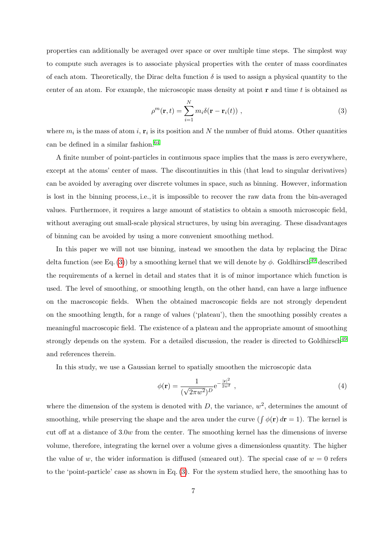properties can additionally be averaged over space or over multiple time steps. The simplest way to compute such averages is to associate physical properties with the center of mass coordinates of each atom. Theoretically, the Dirac delta function  $\delta$  is used to assign a physical quantity to the center of an atom. For example, the microscopic mass density at point  ${\bf r}$  and time t is obtained as

<span id="page-6-0"></span>
$$
\rho^m(\mathbf{r},t) = \sum_{i=1}^N m_i \delta(\mathbf{r} - \mathbf{r}_i(t)), \qquad (3)
$$

where  $m_i$  is the mass of atom i,  $\mathbf{r}_i$  is its position and N the number of fluid atoms. Other quantities can be defined in a similar fashion.  $64$ 

A finite number of point-particles in continuous space implies that the mass is zero everywhere, except at the atoms' center of mass. The discontinuities in this (that lead to singular derivatives) can be avoided by averaging over discrete volumes in space, such as binning. However, information is lost in the binning process, i.e., it is impossible to recover the raw data from the bin-averaged values. Furthermore, it requires a large amount of statistics to obtain a smooth microscopic field, without averaging out small-scale physical structures, by using bin averaging. These disadvantages of binning can be avoided by using a more convenient smoothing method.

In this paper we will not use binning, instead we smoothen the data by replacing the Dirac delta function (see Eq. [\(3\)](#page-6-0)) by a smoothing kernel that we will denote by  $\phi$ . Goldhirsch<sup>[49](#page-39-10)</sup> described the requirements of a kernel in detail and states that it is of minor importance which function is used. The level of smoothing, or smoothing length, on the other hand, can have a large influence on the macroscopic fields. When the obtained macroscopic fields are not strongly dependent on the smoothing length, for a range of values ('plateau'), then the smoothing possibly creates a meaningful macroscopic field. The existence of a plateau and the appropriate amount of smoothing strongly depends on the system. For a detailed discussion, the reader is directed to Goldhirsch<sup>[49](#page-39-10)</sup> and references therein.

In this study, we use a Gaussian kernel to spatially smoothen the microscopic data

$$
\phi(\mathbf{r}) = \frac{1}{(\sqrt{2\pi w^2})^D} e^{-\frac{|\mathbf{r}|^2}{2w^2}},\tag{4}
$$

where the dimension of the system is denoted with D, the variance,  $w^2$ , determines the amount of smoothing, while preserving the shape and the area under the curve  $(\int \phi(\mathbf{r}) d\mathbf{r} = 1)$ . The kernel is cut off at a distance of 3.0w from the center. The smoothing kernel has the dimensions of inverse volume, therefore, integrating the kernel over a volume gives a dimensionless quantity. The higher the value of w, the wider information is diffused (smeared out). The special case of  $w = 0$  refers to the 'point-particle' case as shown in Eq. [\(3\)](#page-6-0). For the system studied here, the smoothing has to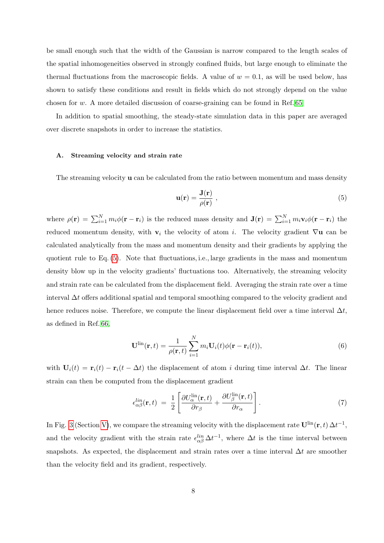be small enough such that the width of the Gaussian is narrow compared to the length scales of the spatial inhomogeneities observed in strongly confined fluids, but large enough to eliminate the thermal fluctuations from the macroscopic fields. A value of  $w = 0.1$ , as will be used below, has shown to satisfy these conditions and result in fields which do not strongly depend on the value chosen for  $w$ . A more detailed discussion of coarse-graining can be found in Ref. [65](#page-40-1)

In addition to spatial smoothing, the steady-state simulation data in this paper are averaged over discrete snapshots in order to increase the statistics.

### A. Streaming velocity and strain rate

The streaming velocity u can be calculated from the ratio between momentum and mass density

<span id="page-7-0"></span>
$$
\mathbf{u}(\mathbf{r}) = \frac{\mathbf{J}(\mathbf{r})}{\rho(\mathbf{r})},\tag{5}
$$

where  $\rho(\mathbf{r}) = \sum_{i=1}^{N} m_i \phi(\mathbf{r} - \mathbf{r}_i)$  is the reduced mass density and  $\mathbf{J}(\mathbf{r}) = \sum_{i=1}^{N} m_i \mathbf{v}_i \phi(\mathbf{r} - \mathbf{r}_i)$  the reduced momentum density, with  $v_i$  the velocity of atom i. The velocity gradient  $\nabla$ **u** can be calculated analytically from the mass and momentum density and their gradients by applying the quotient rule to Eq. [\(5\)](#page-7-0). Note that fluctuations, i.e., large gradients in the mass and momentum density blow up in the velocity gradients' fluctuations too. Alternatively, the streaming velocity and strain rate can be calculated from the displacement field. Averaging the strain rate over a time interval ∆t offers additional spatial and temporal smoothing compared to the velocity gradient and hence reduces noise. Therefore, we compute the linear displacement field over a time interval  $\Delta t$ , as defined in Ref. [66,](#page-40-2)

$$
\mathbf{U}^{\text{lin}}(\mathbf{r},t) = \frac{1}{\rho(\mathbf{r},t)} \sum_{i=1}^{N} m_i \mathbf{U}_i(t) \phi(\mathbf{r} - \mathbf{r}_i(t)),
$$
\n(6)

with  $U_i(t) = \mathbf{r}_i(t) - \mathbf{r}_i(t - \Delta t)$  the displacement of atom i during time interval  $\Delta t$ . The linear strain can then be computed from the displacement gradient

$$
\epsilon_{\alpha\beta}^{lin}(\mathbf{r},t) = \frac{1}{2} \left[ \frac{\partial U_{\alpha}^{\text{lin}}(\mathbf{r},t)}{\partial r_{\beta}} + \frac{\partial U_{\beta}^{\text{lin}}(\mathbf{r},t)}{\partial r_{\alpha}} \right]. \tag{7}
$$

In Fig. [3](#page-18-0) (Section [V\)](#page-15-0), we compare the streaming velocity with the displacement rate  $\mathbf{U}^{\text{lin}}(\mathbf{r},t) \Delta t^{-1}$ , and the velocity gradient with the strain rate  $\epsilon_{\alpha\beta}^{lin} \Delta t^{-1}$ , where  $\Delta t$  is the time interval between snapshots. As expected, the displacement and strain rates over a time interval  $\Delta t$  are smoother than the velocity field and its gradient, respectively.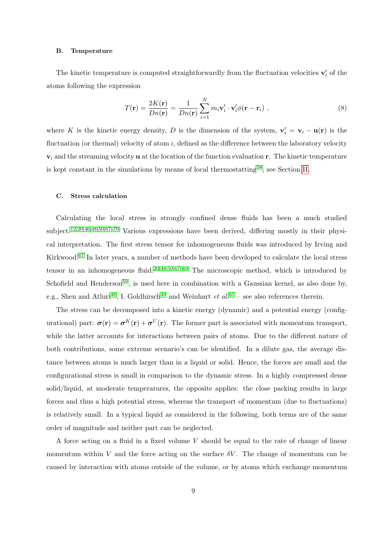#### B. Temperature

The kinetic temperature is computed straightforwardly from the fluctuation velocities  $\mathbf{v}'_i$  of the atoms following the expression

$$
T(\mathbf{r}) = \frac{2K(\mathbf{r})}{Dn(\mathbf{r})} = \frac{1}{Dn(\mathbf{r})} \sum_{i=1}^{N} m_i \mathbf{v}'_i \cdot \mathbf{v}'_i \phi(\mathbf{r} - \mathbf{r}_i) ,
$$
 (8)

where K is the kinetic energy density, D is the dimension of the system,  $\mathbf{v}'_i = \mathbf{v}_i - \mathbf{u}(\mathbf{r})$  is the fluctuation (or thermal) velocity of atom  $i$ , defined as the difference between the laboratory velocity  $v_i$  and the streaming velocity **u** at the location of the function evaluation **r**. The kinetic temperature is kept constant in the simulations by means of local thermostatting<sup>[58](#page-39-16)</sup>, see Section [II.](#page-4-0)

## C. Stress calculation

Calculating the local stress in strongly confined dense fluids has been a much studied subject.<sup>[12,](#page-38-13)[20,](#page-38-8)[46](#page-39-7)[,48,](#page-39-9)[50](#page-39-11),67-[70](#page-40-4)</sup> Various expressions have been derived, differing mostly in their physical interpretation. The first stress tensor for inhomogeneous fluids was introduced by Irving and Kirkwood.[67](#page-40-3) In later years, a number of methods have been developed to calculate the local stress tensor in an inhomogeneous fluid.<sup>[20,](#page-38-8)[48,](#page-39-9)[50](#page-39-11)[,67](#page-40-3)[–69](#page-40-5)</sup> The microscopic method, which is introduced by Schofield and Henderson<sup>[50](#page-39-11)</sup>, is used here in combination with a Gaussian kernel, as also done by, e.g., Shen and Atluri<sup>[48](#page-39-9)</sup>, I. Goldhirsch<sup>[49](#page-39-10)</sup> and Weinhart *et al.*<sup>[65](#page-40-1)</sup> – see also references therein.

The stress can be decomposed into a kinetic energy (dynamic) and a potential energy (configurational) part:  $\sigma(\mathbf{r}) = \sigma^{K}(\mathbf{r}) + \sigma^{U}(\mathbf{r})$ . The former part is associated with momentum transport, while the latter accounts for interactions between pairs of atoms. Due to the different nature of both contributions, some extreme scenario's can be identified. In a dilute gas, the average distance between atoms is much larger than in a liquid or solid. Hence, the forces are small and the configurational stress is small in comparison to the dynamic stress. In a highly compressed dense solid/liquid, at moderate temperatures, the opposite applies: the close packing results in large forces and thus a high potential stress, whereas the transport of momentum (due to fluctuations) is relatively small. In a typical liquid as considered in the following, both terms are of the same order of magnitude and neither part can be neglected.

A force acting on a fluid in a fixed volume V should be equal to the rate of change of linear momentum within V and the force acting on the surface  $\delta V$ . The change of momentum can be caused by interaction with atoms outside of the volume, or by atoms which exchange momentum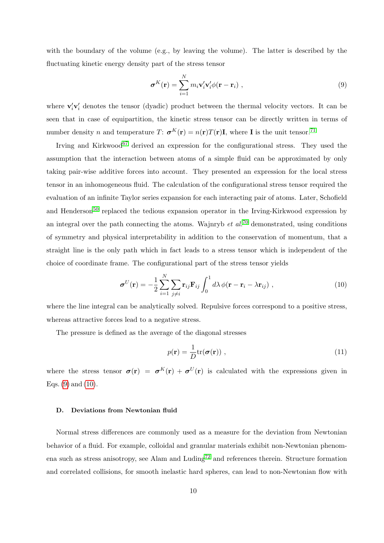with the boundary of the volume (e.g., by leaving the volume). The latter is described by the fluctuating kinetic energy density part of the stress tensor

<span id="page-9-0"></span>
$$
\boldsymbol{\sigma}^{K}(\mathbf{r}) = \sum_{i=1}^{N} m_{i} \mathbf{v}'_{i} \mathbf{v}'_{i} \phi(\mathbf{r} - \mathbf{r}_{i}), \qquad (9)
$$

where  $\mathbf{v}'_i \mathbf{v}'_i$  denotes the tensor (dyadic) product between the thermal velocity vectors. It can be seen that in case of equipartition, the kinetic stress tensor can be directly written in terms of number density n and temperature  $T: \sigma^{K}(\mathbf{r}) = n(\mathbf{r})T(\mathbf{r})\mathbf{I}$ , where **I** is the unit tensor.<sup>[71](#page-40-6)</sup>

Irving and Kirkwood<sup>[67](#page-40-3)</sup> derived an expression for the configurational stress. They used the assumption that the interaction between atoms of a simple fluid can be approximated by only taking pair-wise additive forces into account. They presented an expression for the local stress tensor in an inhomogeneous fluid. The calculation of the configurational stress tensor required the evaluation of an infinite Taylor series expansion for each interacting pair of atoms. Later, Schofield and Henderson<sup>[50](#page-39-11)</sup> replaced the tedious expansion operator in the Irving-Kirkwood expression by an integral over the path connecting the atoms. Wajnryb *et al.*<sup>[70](#page-40-4)</sup> demonstrated, using conditions of symmetry and physical interpretability in addition to the conservation of momentum, that a straight line is the only path which in fact leads to a stress tensor which is independent of the choice of coordinate frame. The configurational part of the stress tensor yields

<span id="page-9-1"></span>
$$
\boldsymbol{\sigma}^{U}(\mathbf{r}) = -\frac{1}{2} \sum_{i=1}^{N} \sum_{j \neq i} \mathbf{r}_{ij} \mathbf{F}_{ij} \int_{0}^{1} d\lambda \, \phi(\mathbf{r} - \mathbf{r}_{i} - \lambda \mathbf{r}_{ij}) , \qquad (10)
$$

where the line integral can be analytically solved. Repulsive forces correspond to a positive stress, whereas attractive forces lead to a negative stress.

The pressure is defined as the average of the diagonal stresses

<span id="page-9-2"></span>
$$
p(\mathbf{r}) = \frac{1}{D} \text{tr}(\boldsymbol{\sigma}(\mathbf{r})) \tag{11}
$$

where the stress tensor  $\sigma(\mathbf{r}) = \sigma^{K}(\mathbf{r}) + \sigma^{U}(\mathbf{r})$  is calculated with the expressions given in Eqs.  $(9)$  and  $(10)$ .

#### <span id="page-9-3"></span>D. Deviations from Newtonian fluid

Normal stress differences are commonly used as a measure for the deviation from Newtonian behavior of a fluid. For example, colloidal and granular materials exhibit non-Newtonian phenom-ena such as stress anisotropy, see Alam and Luding<sup>[72](#page-40-7)</sup> and references therein. Structure formation and correlated collisions, for smooth inelastic hard spheres, can lead to non-Newtonian flow with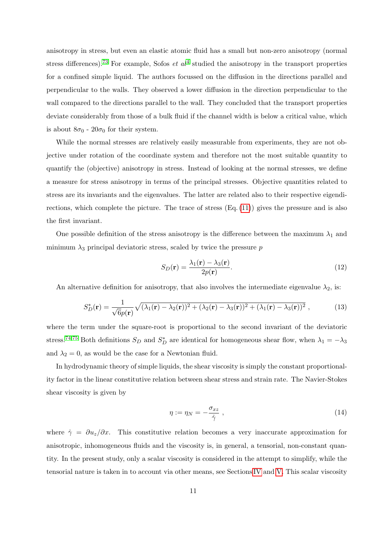anisotropy in stress, but even an elastic atomic fluid has a small but non-zero anisotropy (normal stress differences).<sup>[73](#page-40-8)</sup> For example, Sofos *et al*<sup>[4](#page-38-18)</sup> studied the anisotropy in the transport properties for a confined simple liquid. The authors focussed on the diffusion in the directions parallel and perpendicular to the walls. They observed a lower diffusion in the direction perpendicular to the wall compared to the directions parallel to the wall. They concluded that the transport properties deviate considerably from those of a bulk fluid if the channel width is below a critical value, which is about  $8\sigma_0$  -  $20\sigma_0$  for their system.

While the normal stresses are relatively easily measurable from experiments, they are not objective under rotation of the coordinate system and therefore not the most suitable quantity to quantify the (objective) anisotropy in stress. Instead of looking at the normal stresses, we define a measure for stress anisotropy in terms of the principal stresses. Objective quantities related to stress are its invariants and the eigenvalues. The latter are related also to their respective eigendirections, which complete the picture. The trace of stress  $(Eq. (11))$  $(Eq. (11))$  $(Eq. (11))$  gives the pressure and is also the first invariant.

One possible definition of the stress anisotropy is the difference between the maximum  $\lambda_1$  and minimum  $\lambda_3$  principal deviatoric stress, scaled by twice the pressure p

<span id="page-10-0"></span>
$$
S_D(\mathbf{r}) = \frac{\lambda_1(\mathbf{r}) - \lambda_3(\mathbf{r})}{2p(\mathbf{r})}.
$$
\n(12)

An alternative definition for anisotropy, that also involves the intermediate eigenvalue  $\lambda_2$ , is:

<span id="page-10-1"></span>
$$
S_D^*(\mathbf{r}) = \frac{1}{\sqrt{6}p(\mathbf{r})}\sqrt{(\lambda_1(\mathbf{r}) - \lambda_2(\mathbf{r}))^2 + (\lambda_2(\mathbf{r}) - \lambda_3(\mathbf{r}))^2 + (\lambda_1(\mathbf{r}) - \lambda_3(\mathbf{r}))^2} \,,\tag{13}
$$

where the term under the square-root is proportional to the second invariant of the deviatoric stress.<sup>[74,](#page-40-9)[75](#page-40-10)</sup> Both definitions  $S_D$  and  $S_D^*$  are identical for homogeneous shear flow, when  $\lambda_1 = -\lambda_3$ and  $\lambda_2 = 0$ , as would be the case for a Newtonian fluid.

In hydrodynamic theory of simple liquids, the shear viscosity is simply the constant proportionality factor in the linear constitutive relation between shear stress and strain rate. The Navier-Stokes shear viscosity is given by

$$
\eta := \eta_N = -\frac{\sigma_{xz}}{\dot{\gamma}} \,, \tag{14}
$$

where  $\dot{\gamma} = \partial u_z/\partial x$ . This constitutive relation becomes a very inaccurate approximation for anisotropic, inhomogeneous fluids and the viscosity is, in general, a tensorial, non-constant quantity. In the present study, only a scalar viscosity is considered in the attempt to simplify, while the tensorial nature is taken in to account via other means, see Sections [IV](#page-11-0) and [V.](#page-15-0) This scalar viscosity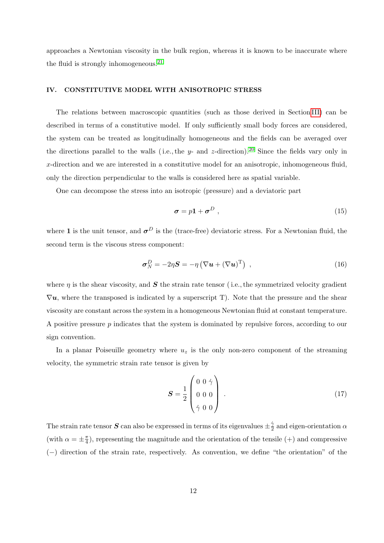approaches a Newtonian viscosity in the bulk region, whereas it is known to be inaccurate where the fluid is strongly inhomogeneous.<sup>[21](#page-38-21)</sup>

## <span id="page-11-0"></span>IV. CONSTITUTIVE MODEL WITH ANISOTROPIC STRESS

The relations between macroscopic quantities (such as those derived in Section [III\)](#page-5-0) can be described in terms of a constitutive model. If only sufficiently small body forces are considered, the system can be treated as longitudinally homogeneous and the fields can be averaged over the directions parallel to the walls (i.e., the  $y$ - and  $z$ -direction).<sup>[20](#page-38-8)</sup> Since the fields vary only in x-direction and we are interested in a constitutive model for an anisotropic, inhomogeneous fluid, only the direction perpendicular to the walls is considered here as spatial variable.

One can decompose the stress into an isotropic (pressure) and a deviatoric part

<span id="page-11-1"></span>
$$
\sigma = p\mathbf{1} + \sigma^D \t{,} \t(15)
$$

where 1 is the unit tensor, and  $\sigma^D$  is the (trace-free) deviatoric stress. For a Newtonian fluid, the second term is the viscous stress component:

<span id="page-11-2"></span>
$$
\boldsymbol{\sigma}_N^D = -2\eta \boldsymbol{S} = -\eta \left( \nabla \boldsymbol{u} + (\nabla \boldsymbol{u})^{\mathrm{T}} \right) , \qquad (16)
$$

where  $\eta$  is the shear viscosity, and S the strain rate tensor (i.e., the symmetrized velocity gradient  $\nabla u$ , where the transposed is indicated by a superscript T). Note that the pressure and the shear viscosity are constant across the system in a homogeneous Newtonian fluid at constant temperature. A positive pressure  $p$  indicates that the system is dominated by repulsive forces, according to our sign convention.

In a planar Poiseuille geometry where  $u<sub>z</sub>$  is the only non-zero component of the streaming velocity, the symmetric strain rate tensor is given by

$$
S = \frac{1}{2} \begin{pmatrix} 0 & 0 & \dot{\gamma} \\ 0 & 0 & 0 \\ \dot{\gamma} & 0 & 0 \end{pmatrix} . \tag{17}
$$

The strain rate tensor  $S$  can also be expressed in terms of its eigenvalues  $\pm \frac{\dot{2}}{2}$  $\frac{\gamma}{2}$  and eigen-orientation  $\alpha$ (with  $\alpha = \pm \frac{\pi}{4}$  $\frac{\pi}{4}$ ), representing the magnitude and the orientation of the tensile (+) and compressive (−) direction of the strain rate, respectively. As convention, we define "the orientation" of the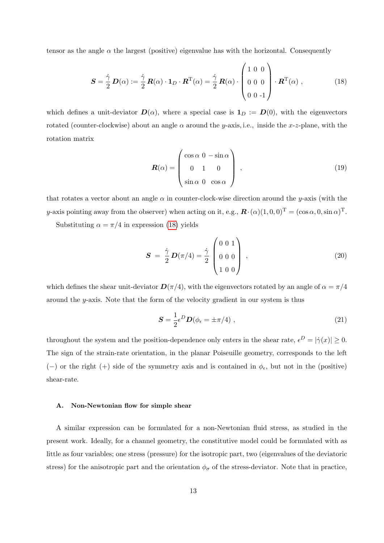tensor as the angle  $\alpha$  the largest (positive) eigenvalue has with the horizontal. Consequently

<span id="page-12-0"></span>
$$
\mathbf{S} = \frac{\dot{\gamma}}{2} \mathbf{D}(\alpha) := \frac{\dot{\gamma}}{2} \mathbf{R}(\alpha) \cdot \mathbf{1}_D \cdot \mathbf{R}^{\mathrm{T}}(\alpha) = \frac{\dot{\gamma}}{2} \mathbf{R}(\alpha) \cdot \begin{pmatrix} 1 & 0 & 0 \\ 0 & 0 & 0 \\ 0 & 0 & -1 \end{pmatrix} \cdot \mathbf{R}^{\mathrm{T}}(\alpha) ,
$$
 (18)

which defines a unit-deviator  $\mathbf{D}(\alpha)$ , where a special case is  $\mathbf{1}_D := \mathbf{D}(0)$ , with the eigenvectors rotated (counter-clockwise) about an angle  $\alpha$  around the y-axis, i.e., inside the x-z-plane, with the rotation matrix

$$
\boldsymbol{R}(\alpha) = \begin{pmatrix} \cos \alpha & 0 & -\sin \alpha \\ 0 & 1 & 0 \\ \sin \alpha & 0 & \cos \alpha \end{pmatrix},\tag{19}
$$

that rotates a vector about an angle  $\alpha$  in counter-clock-wise direction around the y-axis (with the y-axis pointing away from the observer) when acting on it, e.g.,  $\mathbf{R} \cdot (\alpha)(1,0,0)^{\mathrm{T}} = (\cos \alpha, 0, \sin \alpha)^{\mathrm{T}}$ .

Substituting  $\alpha = \pi/4$  in expression [\(18\)](#page-12-0) yields

$$
\mathbf{S} = \frac{\dot{\gamma}}{2} \mathbf{D}(\pi/4) = \frac{\dot{\gamma}}{2} \begin{pmatrix} 0 & 0 & 1 \\ 0 & 0 & 0 \\ 1 & 0 & 0 \end{pmatrix} , \qquad (20)
$$

which defines the shear unit-deviator  $\mathbf{D}(\pi/4)$ , with the eigenvectors rotated by an angle of  $\alpha = \pi/4$ around the y-axis. Note that the form of the velocity gradient in our system is thus

$$
\mathbf{S} = \frac{1}{2} \epsilon^D \mathbf{D} (\phi_\epsilon = \pm \pi/4) \;, \tag{21}
$$

throughout the system and the position-dependence only enters in the shear rate,  $\epsilon^D = |\dot{\gamma}(x)| \ge 0$ . The sign of the strain-rate orientation, in the planar Poiseuille geometry, corresponds to the left (-) or the right (+) side of the symmetry axis and is contained in  $\phi_{\epsilon}$ , but not in the (positive) shear-rate.

## A. Non-Newtonian flow for simple shear

A similar expression can be formulated for a non-Newtonian fluid stress, as studied in the present work. Ideally, for a channel geometry, the constitutive model could be formulated with as little as four variables; one stress (pressure) for the isotropic part, two (eigenvalues of the deviatoric stress) for the anisotropic part and the orientation  $\phi_{\sigma}$  of the stress-deviator. Note that in practice,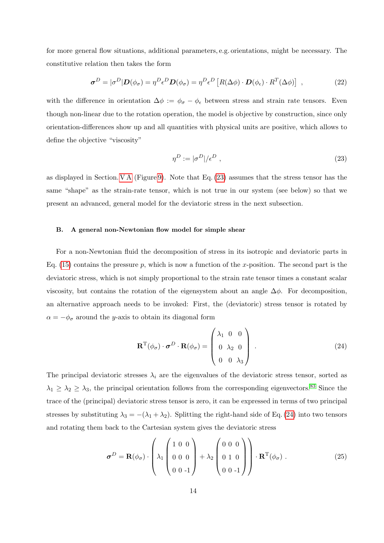for more general flow situations, additional parameters, e.g. orientations, might be necessary. The constitutive relation then takes the form

<span id="page-13-3"></span>
$$
\boldsymbol{\sigma}^D = |\sigma^D| \mathbf{D}(\phi_{\sigma}) = \eta^D \epsilon^D \mathbf{D}(\phi_{\sigma}) = \eta^D \epsilon^D \left[ R(\Delta \phi) \cdot \mathbf{D}(\phi_{\epsilon}) \cdot R^T(\Delta \phi) \right] , \qquad (22)
$$

with the difference in orientation  $\Delta \phi := \phi_{\sigma} - \phi_{\epsilon}$  between stress and strain rate tensors. Even though non-linear due to the rotation operation, the model is objective by construction, since only orientation-differences show up and all quantities with physical units are positive, which allows to define the objective "viscosity"

<span id="page-13-0"></span>
$$
\eta^D := |\sigma^D| / \epsilon^D \tag{23}
$$

as displayed in Section. [V A](#page-16-0) (Figure [9\)](#page-23-0). Note that Eq. [\(23\)](#page-13-0) assumes that the stress tensor has the same "shape" as the strain-rate tensor, which is not true in our system (see below) so that we present an advanced, general model for the deviatoric stress in the next subsection.

### B. A general non-Newtonian flow model for simple shear

For a non-Newtonian fluid the decomposition of stress in its isotropic and deviatoric parts in Eq. [\(15\)](#page-11-1) contains the pressure  $p$ , which is now a function of the x-position. The second part is the deviatoric stress, which is not simply proportional to the strain rate tensor times a constant scalar viscosity, but contains the rotation of the eigensystem about an angle  $\Delta \phi$ . For decomposition, an alternative approach needs to be invoked: First, the (deviatoric) stress tensor is rotated by  $\alpha = -\phi_{\sigma}$  around the y-axis to obtain its diagonal form

<span id="page-13-1"></span>
$$
\mathbf{R}^{\mathrm{T}}(\phi_{\sigma}) \cdot \boldsymbol{\sigma}^{D} \cdot \mathbf{R}(\phi_{\sigma}) = \begin{pmatrix} \lambda_{1} & 0 & 0 \\ 0 & \lambda_{2} & 0 \\ 0 & 0 & \lambda_{3} \end{pmatrix} .
$$
 (24)

The principal deviatoric stresses  $\lambda_i$  are the eigenvalues of the deviatoric stress tensor, sorted as  $\lambda_1 \geq \lambda_2 \geq \lambda_3$ , the principal orientation follows from the corresponding eigenvectors.<sup>[83](#page-40-11)</sup> Since the trace of the (principal) deviatoric stress tensor is zero, it can be expressed in terms of two principal stresses by substituting  $\lambda_3 = -(\lambda_1 + \lambda_2)$ . Splitting the right-hand side of Eq. [\(24\)](#page-13-1) into two tensors and rotating them back to the Cartesian system gives the deviatoric stress

<span id="page-13-2"></span>
$$
\boldsymbol{\sigma}^{D} = \mathbf{R}(\phi_{\sigma}) \cdot \begin{pmatrix} 1 & 0 & 0 \\ \lambda_{1} & 0 & 0 & 0 \\ 0 & 0 & -1 & 0 \end{pmatrix} + \lambda_{2} \begin{pmatrix} 0 & 0 & 0 \\ 0 & 1 & 0 \\ 0 & 0 & -1 & 0 \end{pmatrix} \cdot \mathbf{R}^{T}(\phi_{\sigma}).
$$
 (25)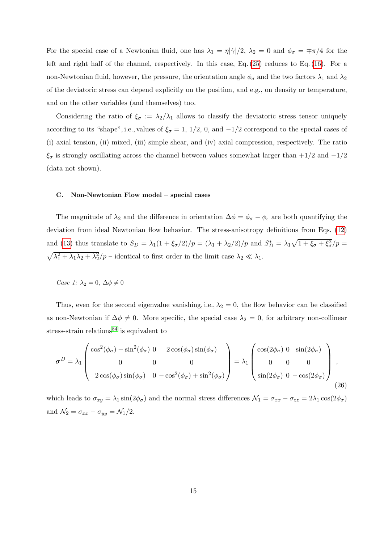For the special case of a Newtonian fluid, one has  $\lambda_1 = \eta |\dot{\gamma}|/2$ ,  $\lambda_2 = 0$  and  $\phi_{\sigma} = \pm \pi/4$  for the left and right half of the channel, respectively. In this case, Eq. [\(25\)](#page-13-2) reduces to Eq. [\(16\)](#page-11-2). For a non-Newtonian fluid, however, the pressure, the orientation angle  $\phi_{\sigma}$  and the two factors  $\lambda_1$  and  $\lambda_2$ of the deviatoric stress can depend explicitly on the position, and e.g., on density or temperature, and on the other variables (and themselves) too.

Considering the ratio of  $\xi_{\sigma} := \lambda_2/\lambda_1$  allows to classify the deviatoric stress tensor uniquely according to its "shape", i.e., values of  $\xi_{\sigma} = 1, 1/2, 0, \text{ and } -1/2$  correspond to the special cases of (i) axial tension, (ii) mixed, (iii) simple shear, and (iv) axial compression, respectively. The ratio  $\xi_{\sigma}$  is strongly oscillating across the channel between values somewhat larger than +1/2 and -1/2 (data not shown).

#### <span id="page-14-0"></span>C. Non-Newtonian Flow model – special cases

The magnitude of  $\lambda_2$  and the difference in orientation  $\Delta \phi = \phi_{\sigma} - \phi_{\epsilon}$  are both quantifying the deviation from ideal Newtonian flow behavior. The stress-anisotropy definitions from Eqs. [\(12\)](#page-10-0) and [\(13\)](#page-10-1) thus translate to  $S_D = \lambda_1(1 + \xi_\sigma/2)/p = (\lambda_1 + \lambda_2/2)/p$  and  $S_D^* = \lambda_1\sqrt{1 + \xi_\sigma + \xi_\sigma^2}/p =$  $\sqrt{\lambda_1^2 + \lambda_1 \lambda_2 + \lambda_2^2}/p$  – identical to first order in the limit case  $\lambda_2 \ll \lambda_1$ .

Case 1:  $\lambda_2 = 0, \Delta \phi \neq 0$ 

Thus, even for the second eigenvalue vanishing, i.e.,  $\lambda_2 = 0$ , the flow behavior can be classified as non-Newtonian if  $\Delta \phi \neq 0$ . More specific, the special case  $\lambda_2 = 0$ , for arbitrary non-collinear stress-strain relations<sup>[84](#page-40-12)</sup> is equivalent to

$$
\boldsymbol{\sigma}^{D} = \lambda_{1} \begin{pmatrix} \cos^{2}(\phi_{\sigma}) - \sin^{2}(\phi_{\sigma}) & 0 & 2\cos(\phi_{\sigma})\sin(\phi_{\sigma}) \\ 0 & 0 & 0 \\ 2\cos(\phi_{\sigma})\sin(\phi_{\sigma}) & 0 - \cos^{2}(\phi_{\sigma}) + \sin^{2}(\phi_{\sigma}) \end{pmatrix} = \lambda_{1} \begin{pmatrix} \cos(2\phi_{\sigma}) & 0 & \sin(2\phi_{\sigma}) \\ 0 & 0 & 0 \\ \sin(2\phi_{\sigma}) & 0 & -\cos(2\phi_{\sigma}) \end{pmatrix},
$$
\n(26)

which leads to  $\sigma_{xy} = \lambda_1 \sin(2\phi_\sigma)$  and the normal stress differences  $\mathcal{N}_1 = \sigma_{xx} - \sigma_{zz} = 2\lambda_1 \cos(2\phi_\sigma)$ and  $\mathcal{N}_2 = \sigma_{xx} - \sigma_{yy} = \mathcal{N}_1/2$ .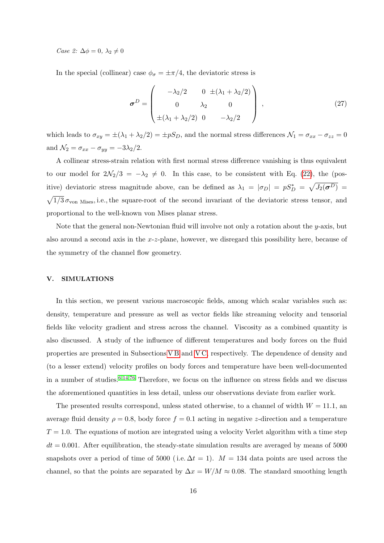Case 2:  $\Delta \phi = 0, \lambda_2 \neq 0$ 

In the special (collinear) case  $\phi_{\sigma} = \pm \pi/4$ , the deviatoric stress is

$$
\boldsymbol{\sigma}^D = \begin{pmatrix} -\lambda_2/2 & 0 \pm (\lambda_1 + \lambda_2/2) \\ 0 & \lambda_2 & 0 \\ \pm (\lambda_1 + \lambda_2/2) & 0 & -\lambda_2/2 \end{pmatrix},
$$
(27)

which leads to  $\sigma_{xy} = \pm(\lambda_1 + \lambda_2/2) = \pm pS_D$ , and the normal stress differences  $\mathcal{N}_1 = \sigma_{xx} - \sigma_{zz} = 0$ and  $\mathcal{N}_2 = \sigma_{xx} - \sigma_{yy} = -3\lambda_2/2$ .

A collinear stress-strain relation with first normal stress difference vanishing is thus equivalent to our model for  $2\mathcal{N}_2/3 = -\lambda_2 \neq 0$ . In this case, to be consistent with Eq. [\(22\)](#page-13-3), the (positive) deviatoric stress magnitude above, can be defined as  $\lambda_1 = |\sigma_D| = pS_D^* = \sqrt{J_2(\sigma^D)}$  $\sqrt{1/3}\,\sigma_{\text{von Mises}}$ , i.e., the square-root of the second invariant of the deviatoric stress tensor, and proportional to the well-known von Mises planar stress.

Note that the general non-Newtonian fluid will involve not only a rotation about the  $y$ -axis, but also around a second axis in the  $x-z$ -plane, however, we disregard this possibility here, because of the symmetry of the channel flow geometry.

### <span id="page-15-0"></span>V. SIMULATIONS

In this section, we present various macroscopic fields, among which scalar variables such as: density, temperature and pressure as well as vector fields like streaming velocity and tensorial fields like velocity gradient and stress across the channel. Viscosity as a combined quantity is also discussed. A study of the influence of different temperatures and body forces on the fluid properties are presented in Subsections [V B](#page-23-1) and [V C,](#page-27-0) respectively. The dependence of density and (to a lesser extend) velocity profiles on body forces and temperature have been well-documented in a number of studies.  $6,14,76$  $6,14,76$  $6,14,76$  Therefore, we focus on the influence on stress fields and we discuss the aforementioned quantities in less detail, unless our observations deviate from earlier work.

The presented results correspond, unless stated otherwise, to a channel of width  $W = 11.1$ , and average fluid density  $\rho = 0.8$ , body force  $f = 0.1$  acting in negative z-direction and a temperature  $T = 1.0$ . The equations of motion are integrated using a velocity Verlet algorithm with a time step  $dt = 0.001$ . After equilibration, the steady-state simulation results are averaged by means of 5000 snapshots over a period of time of 5000 (i.e.  $\Delta t = 1$ ).  $M = 134$  data points are used across the channel, so that the points are separated by  $\Delta x = W/M \approx 0.08$ . The standard smoothing length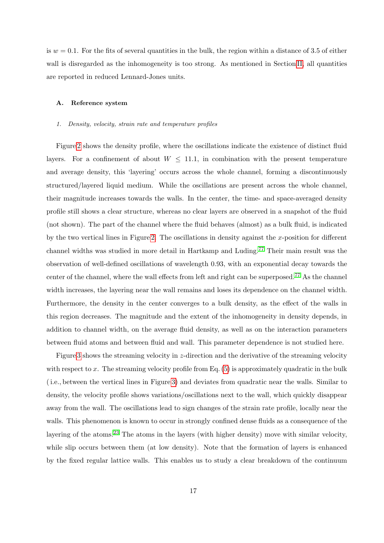is  $w = 0.1$ . For the fits of several quantities in the bulk, the region within a distance of 3.5 of either wall is disregarded as the inhomogeneity is too strong. As mentioned in Section [II,](#page-4-0) all quantities are reported in reduced Lennard-Jones units.

#### <span id="page-16-0"></span>A. Reference system

#### 1. Density, velocity, strain rate and temperature profiles

Figure [2](#page-17-0) shows the density profile, where the oscillations indicate the existence of distinct fluid layers. For a confinement of about  $W \leq 11.1$ , in combination with the present temperature and average density, this 'layering' occurs across the whole channel, forming a discontinuously structured/layered liquid medium. While the oscillations are present across the whole channel, their magnitude increases towards the walls. In the center, the time- and space-averaged density profile still shows a clear structure, whereas no clear layers are observed in a snapshot of the fluid (not shown). The part of the channel where the fluid behaves (almost) as a bulk fluid, is indicated by the two vertical lines in Figure [2.](#page-17-0) The oscillations in density against the x-position for different channel widths was studied in more detail in Hartkamp and Luding.[77](#page-40-14) Their main result was the observation of well-defined oscillations of wavelength 0.93, with an exponential decay towards the center of the channel, where the wall effects from left and right can be superposed.[77](#page-40-14) As the channel width increases, the layering near the wall remains and loses its dependence on the channel width. Furthermore, the density in the center converges to a bulk density, as the effect of the walls in this region decreases. The magnitude and the extent of the inhomogeneity in density depends, in addition to channel width, on the average fluid density, as well as on the interaction parameters between fluid atoms and between fluid and wall. This parameter dependence is not studied here.

Figure [3](#page-18-0) shows the streaming velocity in z-direction and the derivative of the streaming velocity with respect to x. The streaming velocity profile from Eq.  $(5)$  is approximately quadratic in the bulk ( i.e., between the vertical lines in Figure [3\)](#page-18-0) and deviates from quadratic near the walls. Similar to density, the velocity profile shows variations/oscillations next to the wall, which quickly disappear away from the wall. The oscillations lead to sign changes of the strain rate profile, locally near the walls. This phenomenon is known to occur in strongly confined dense fluids as a consequence of the layering of the atoms.<sup>[23](#page-38-14)</sup> The atoms in the layers (with higher density) move with similar velocity, while slip occurs between them (at low density). Note that the formation of layers is enhanced by the fixed regular lattice walls. This enables us to study a clear breakdown of the continuum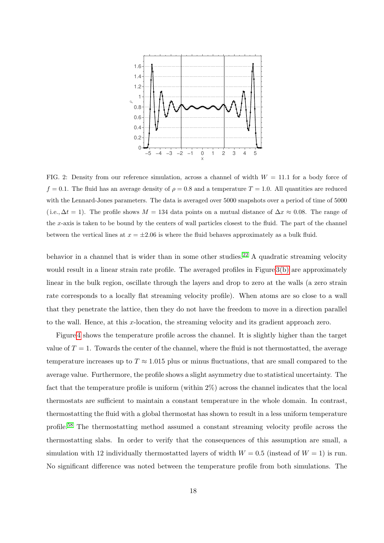

<span id="page-17-0"></span>FIG. 2: Density from our reference simulation, across a channel of width  $W = 11.1$  for a body force of  $f = 0.1$ . The fluid has an average density of  $\rho = 0.8$  and a temperature  $T = 1.0$ . All quantities are reduced with the Lennard-Jones parameters. The data is averaged over 5000 snapshots over a period of time of 5000 (i.e.,  $\Delta t = 1$ ). The profile shows  $M = 134$  data points on a mutual distance of  $\Delta x \approx 0.08$ . The range of the x-axis is taken to be bound by the centers of wall particles closest to the fluid. The part of the channel between the vertical lines at  $x = \pm 2.06$  is where the fluid behaves approximately as a bulk fluid.

behavior in a channel that is wider than in some other studies.<sup>[22](#page-38-10)</sup> A quadratic streaming velocity would result in a linear strain rate profile. The averaged profiles in Figure [3\(b\)](#page-18-1) are approximately linear in the bulk region, oscillate through the layers and drop to zero at the walls (a zero strain rate corresponds to a locally flat streaming velocity profile). When atoms are so close to a wall that they penetrate the lattice, then they do not have the freedom to move in a direction parallel to the wall. Hence, at this x-location, the streaming velocity and its gradient approach zero.

Figure [4](#page-18-2) shows the temperature profile across the channel. It is slightly higher than the target value of  $T = 1$ . Towards the center of the channel, where the fluid is not thermostatted, the average temperature increases up to  $T \approx 1.015$  plus or minus fluctuations, that are small compared to the average value. Furthermore, the profile shows a slight asymmetry due to statistical uncertainty. The fact that the temperature profile is uniform (within 2%) across the channel indicates that the local thermostats are sufficient to maintain a constant temperature in the whole domain. In contrast, thermostatting the fluid with a global thermostat has shown to result in a less uniform temperature profile.[58](#page-39-16) The thermostatting method assumed a constant streaming velocity profile across the thermostatting slabs. In order to verify that the consequences of this assumption are small, a simulation with 12 individually thermostatted layers of width  $W = 0.5$  (instead of  $W = 1$ ) is run. No significant difference was noted between the temperature profile from both simulations. The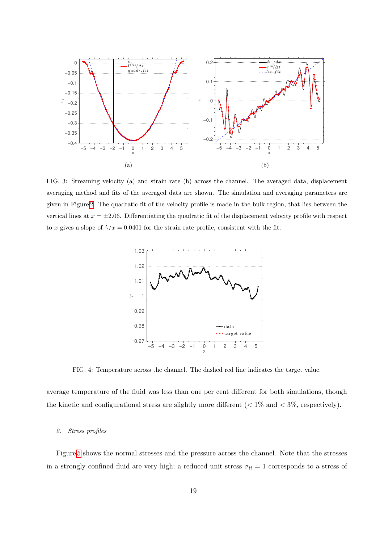

<span id="page-18-0"></span>FIG. 3: Streaming velocity (a) and strain rate (b) across the channel. The averaged data, displacement averaging method and fits of the averaged data are shown. The simulation and averaging parameters are given in Figure [2.](#page-17-0) The quadratic fit of the velocity profile is made in the bulk region, that lies between the vertical lines at  $x = \pm 2.06$ . Differentiating the quadratic fit of the displacement velocity profile with respect to x gives a slope of  $\dot{\gamma}/x = 0.0401$  for the strain rate profile, consistent with the fit.

<span id="page-18-1"></span>

<span id="page-18-2"></span>FIG. 4: Temperature across the channel. The dashed red line indicates the target value.

average temperature of the fluid was less than one per cent different for both simulations, though the kinetic and configurational stress are slightly more different  $(< 1\%$  and  $< 3\%$ , respectively).

#### 2. Stress profiles

Figure [5](#page-19-0) shows the normal stresses and the pressure across the channel. Note that the stresses in a strongly confined fluid are very high; a reduced unit stress  $\sigma_{ii} = 1$  corresponds to a stress of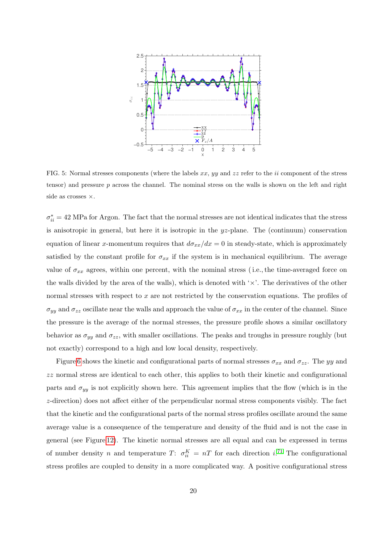

<span id="page-19-0"></span>FIG. 5: Normal stresses components (where the labels  $xx$ ,  $yy$  and  $zz$  refer to the ii component of the stress tensor) and pressure  $p$  across the channel. The nominal stress on the walls is shown on the left and right side as crosses ×.

 $\sigma_{ii}^* = 42$  MPa for Argon. The fact that the normal stresses are not identical indicates that the stress is anisotropic in general, but here it is isotropic in the  $yz$ -plane. The (continuum) conservation equation of linear x-momentum requires that  $d\sigma_{xx}/dx = 0$  in steady-state, which is approximately satisfied by the constant profile for  $\sigma_{xx}$  if the system is in mechanical equilibrium. The average value of  $\sigma_{xx}$  agrees, within one percent, with the nominal stress (i.e., the time-averaged force on the walls divided by the area of the walls), which is denoted with  $\forall x$ . The derivatives of the other normal stresses with respect to  $x$  are not restricted by the conservation equations. The profiles of  $\sigma_{yy}$  and  $\sigma_{zz}$  oscillate near the walls and approach the value of  $\sigma_{xx}$  in the center of the channel. Since the pressure is the average of the normal stresses, the pressure profile shows a similar oscillatory behavior as  $\sigma_{yy}$  and  $\sigma_{zz}$ , with smaller oscillations. The peaks and troughs in pressure roughly (but not exactly) correspond to a high and low local density, respectively.

Figure [6](#page-20-0) shows the kinetic and configurational parts of normal stresses  $\sigma_{xx}$  and  $\sigma_{zz}$ . The yy and zz normal stress are identical to each other, this applies to both their kinetic and configurational parts and  $\sigma_{yy}$  is not explicitly shown here. This agreement implies that the flow (which is in the z-direction) does not affect either of the perpendicular normal stress components visibly. The fact that the kinetic and the configurational parts of the normal stress profiles oscillate around the same average value is a consequence of the temperature and density of the fluid and is not the case in general (see Figure [12\)](#page-26-0). The kinetic normal stresses are all equal and can be expressed in terms of number density n and temperature T:  $\sigma_{ii}^K = nT$  for each direction i.<sup>[71](#page-40-6)</sup> The configurational stress profiles are coupled to density in a more complicated way. A positive configurational stress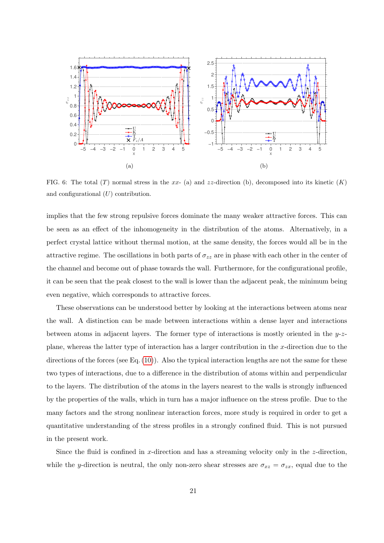<span id="page-20-1"></span>

<span id="page-20-0"></span>FIG. 6: The total (T) normal stress in the xx- (a) and zz-direction (b), decomposed into its kinetic  $(K)$ and configurational  $(U)$  contribution.

implies that the few strong repulsive forces dominate the many weaker attractive forces. This can be seen as an effect of the inhomogeneity in the distribution of the atoms. Alternatively, in a perfect crystal lattice without thermal motion, at the same density, the forces would all be in the attractive regime. The oscillations in both parts of  $\sigma_{zz}$  are in phase with each other in the center of the channel and become out of phase towards the wall. Furthermore, for the configurational profile, it can be seen that the peak closest to the wall is lower than the adjacent peak, the minimum being even negative, which corresponds to attractive forces.

These observations can be understood better by looking at the interactions between atoms near the wall. A distinction can be made between interactions within a dense layer and interactions between atoms in adjacent layers. The former type of interactions is mostly oriented in the  $y-z$ plane, whereas the latter type of interaction has a larger contribution in the x-direction due to the directions of the forces (see Eq. [\(10\)](#page-9-1)). Also the typical interaction lengths are not the same for these two types of interactions, due to a difference in the distribution of atoms within and perpendicular to the layers. The distribution of the atoms in the layers nearest to the walls is strongly influenced by the properties of the walls, which in turn has a major influence on the stress profile. Due to the many factors and the strong nonlinear interaction forces, more study is required in order to get a quantitative understanding of the stress profiles in a strongly confined fluid. This is not pursued in the present work.

Since the fluid is confined in x-direction and has a streaming velocity only in the z-direction, while the y-direction is neutral, the only non-zero shear stresses are  $\sigma_{xz} = \sigma_{zx}$ , equal due to the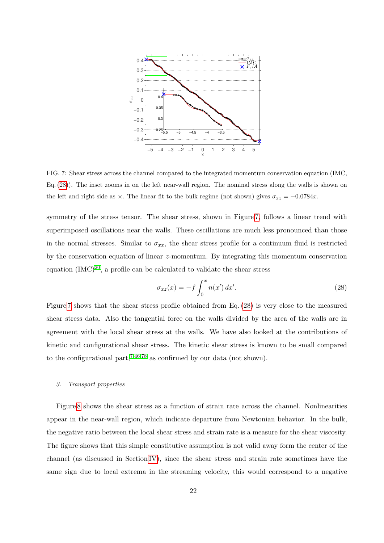

<span id="page-21-1"></span>FIG. 7: Shear stress across the channel compared to the integrated momentum conservation equation (IMC, Eq. [\(28\)](#page-21-0)). The inset zooms in on the left near-wall region. The nominal stress along the walls is shown on the left and right side as  $\times$ . The linear fit to the bulk regime (not shown) gives  $\sigma_{xz} = -0.0784x$ .

symmetry of the stress tensor. The shear stress, shown in Figure [7,](#page-21-1) follows a linear trend with superimposed oscillations near the walls. These oscillations are much less pronounced than those in the normal stresses. Similar to  $\sigma_{xx}$ , the shear stress profile for a continuum fluid is restricted by the conservation equation of linear z-momentum. By integrating this momentum conservation equation  $(MC)^{20}$  $(MC)^{20}$  $(MC)^{20}$ , a profile can be calculated to validate the shear stress

<span id="page-21-0"></span>
$$
\sigma_{xz}(x) = -f \int_0^x n(x') dx'.
$$
\n(28)

Figure [7](#page-21-1) shows that the shear stress profile obtained from Eq. [\(28\)](#page-21-0) is very close to the measured shear stress data. Also the tangential force on the walls divided by the area of the walls are in agreement with the local shear stress at the walls. We have also looked at the contributions of kinetic and configurational shear stress. The kinetic shear stress is known to be small compared to the configurational part,  $7,46,78$  $7,46,78$  $7,46,78$  as confirmed by our data (not shown).

#### 3. Transport properties

Figure [8](#page-22-0) shows the shear stress as a function of strain rate across the channel. Nonlinearities appear in the near-wall region, which indicate departure from Newtonian behavior. In the bulk, the negative ratio between the local shear stress and strain rate is a measure for the shear viscosity. The figure shows that this simple constitutive assumption is not valid away form the center of the channel (as discussed in Section [IV\)](#page-11-0), since the shear stress and strain rate sometimes have the same sign due to local extrema in the streaming velocity, this would correspond to a negative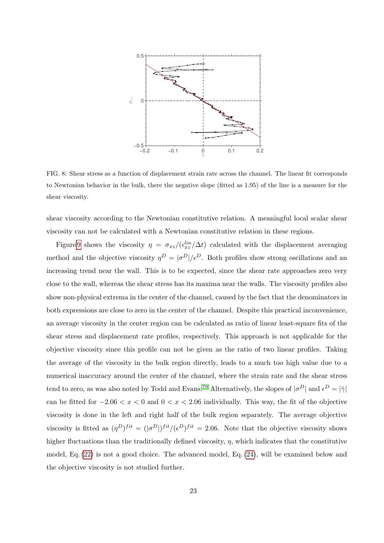

<span id="page-22-0"></span>FIG. 8: Shear stress as a function of displacement strain rate across the channel. The linear fit corresponds to Newtonian behavior in the bulk, there the negative slope (fitted as 1.95) of the line is a measure for the shear viscosity.

shear viscosity according to the Newtonian constitutive relation. A meaningful local scalar shear viscosity can not be calculated with a Newtonian constitutive relation in these regions.

Figure [9](#page-23-0) shows the viscosity  $\eta = \sigma_{xz}/(\epsilon_{xz}^{lin}/\Delta t)$  calculated with the displacement averaging method and the objective viscosity  $\eta^D = |\sigma^D|/\epsilon^D$ . Both profiles show strong oscillations and an increasing trend near the wall. This is to be expected, since the shear rate approaches zero very close to the wall, whereas the shear stress has its maxima near the walls. The viscosity profiles also show non-physical extrema in the center of the channel, caused by the fact that the denominators in both expressions are close to zero in the center of the channel. Despite this practical inconvenience, an average viscosity in the center region can be calculated as ratio of linear least-square fits of the shear stress and displacement rate profiles, respectively. This approach is not applicable for the objective viscosity since this profile can not be given as the ratio of two linear profiles. Taking the average of the viscosity in the bulk region directly, leads to a much too high value due to a numerical inaccuracy around the center of the channel, where the strain rate and the shear stress tend to zero, as was also noted by Todd and Evans.<sup>[79](#page-40-16)</sup> Alternatively, the slopes of  $|\sigma^D|$  and  $\epsilon^D = |\dot{\gamma}|$ can be fitted for  $-2.06 < x < 0$  and  $0 < x < 2.06$  individually. This way, the fit of the objective viscosity is done in the left and right half of the bulk region separately. The average objective viscosity is fitted as  $(\eta^D)^{fit} = (|\sigma^D|)^{fit}/(\epsilon^D)^{fit} = 2.06$ . Note that the objective viscosity shows higher fluctuations than the traditionally defined viscosity,  $\eta$ , which indicates that the constitutive model, Eq. [\(22\)](#page-13-3) is not a good choice. The advanced model, Eq. [\(24\)](#page-13-1), will be examined below and the objective viscosity is not studied further.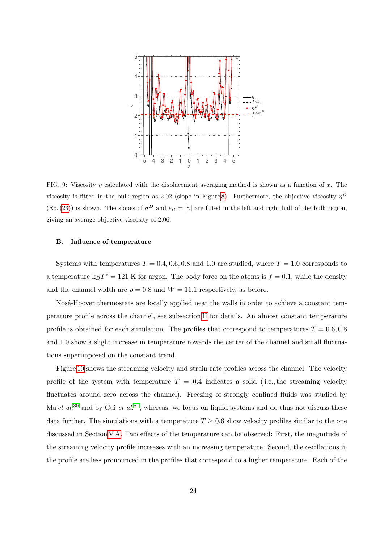

<span id="page-23-0"></span>FIG. 9: Viscosity  $\eta$  calculated with the displacement averaging method is shown as a function of x. The viscosity is fitted in the bulk region as 2.02 (slope in Figure [8\)](#page-22-0). Furthermore, the objective viscosity  $\eta^D$  $(Eq. (23))$  $(Eq. (23))$  $(Eq. (23))$  is shown. The slopes of  $\sigma^D$  and  $\epsilon_D = |\dot{\gamma}|$  are fitted in the left and right half of the bulk region, giving an average objective viscosity of 2.06.

## <span id="page-23-1"></span>B. Influence of temperature

Systems with temperatures  $T = 0.4, 0.6, 0.8$  and 1.0 are studied, where  $T = 1.0$  corresponds to a temperature  $k_B T^* = 121$  K for argon. The body force on the atoms is  $f = 0.1$ , while the density and the channel width are  $\rho = 0.8$  and  $W = 11.1$  respectively, as before.

Nosé-Hoover thermostats are locally applied near the walls in order to achieve a constant temperature profile across the channel, see subsection [II](#page-4-0) for details. An almost constant temperature profile is obtained for each simulation. The profiles that correspond to temperatures  $T = 0.6, 0.8$ and 1.0 show a slight increase in temperature towards the center of the channel and small fluctuations superimposed on the constant trend.

Figure [10](#page-24-0) shows the streaming velocity and strain rate profiles across the channel. The velocity profile of the system with temperature  $T = 0.4$  indicates a solid (i.e., the streaming velocity fluctuates around zero across the channel). Freezing of strongly confined fluids was studied by Ma et al.<sup>[80](#page-40-17)</sup> and by Cui et al.<sup>[81](#page-40-18)</sup>, whereas, we focus on liquid systems and do thus not discuss these data further. The simulations with a temperature  $T \geq 0.6$  show velocity profiles similar to the one discussed in Section [V A.](#page-16-0) Two effects of the temperature can be observed: First, the magnitude of the streaming velocity profile increases with an increasing temperature. Second, the oscillations in the profile are less pronounced in the profiles that correspond to a higher temperature. Each of the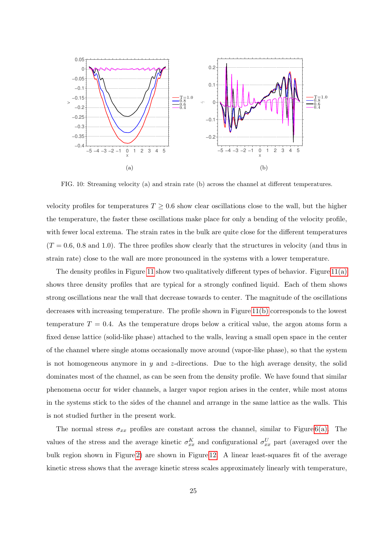

<span id="page-24-0"></span>FIG. 10: Streaming velocity (a) and strain rate (b) across the channel at different temperatures.

velocity profiles for temperatures  $T \geq 0.6$  show clear oscillations close to the wall, but the higher the temperature, the faster these oscillations make place for only a bending of the velocity profile, with fewer local extrema. The strain rates in the bulk are quite close for the different temperatures  $(T = 0.6, 0.8$  and 1.0). The three profiles show clearly that the structures in velocity (and thus in strain rate) close to the wall are more pronounced in the systems with a lower temperature.

The density profiles in Figure [11](#page-25-0) show two qualitatively different types of behavior. Figure [11\(a\)](#page-25-1) shows three density profiles that are typical for a strongly confined liquid. Each of them shows strong oscillations near the wall that decrease towards to center. The magnitude of the oscillations decreases with increasing temperature. The profile shown in Figure [11\(b\)](#page-25-2) corresponds to the lowest temperature  $T = 0.4$ . As the temperature drops below a critical value, the argon atoms form a fixed dense lattice (solid-like phase) attached to the walls, leaving a small open space in the center of the channel where single atoms occasionally move around (vapor-like phase), so that the system is not homogeneous anymore in  $y$  and z-directions. Due to the high average density, the solid dominates most of the channel, as can be seen from the density profile. We have found that similar phenomena occur for wider channels, a larger vapor region arises in the center, while most atoms in the systems stick to the sides of the channel and arrange in the same lattice as the walls. This is not studied further in the present work.

The normal stress  $\sigma_{xx}$  profiles are constant across the channel, similar to Figure [6\(a\).](#page-20-1) The values of the stress and the average kinetic  $\sigma_{xx}^K$  and configurational  $\sigma_{xx}^U$  part (averaged over the bulk region shown in Figure [2\)](#page-17-0) are shown in Figure [12.](#page-26-0) A linear least-squares fit of the average kinetic stress shows that the average kinetic stress scales approximately linearly with temperature,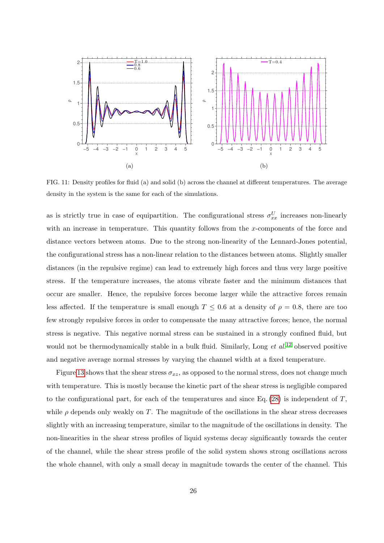<span id="page-25-1"></span>

<span id="page-25-2"></span><span id="page-25-0"></span>FIG. 11: Density profiles for fluid (a) and solid (b) across the channel at different temperatures. The average density in the system is the same for each of the simulations.

as is strictly true in case of equipartition. The configurational stress  $\sigma_{xx}^U$  increases non-linearly with an increase in temperature. This quantity follows from the x-components of the force and distance vectors between atoms. Due to the strong non-linearity of the Lennard-Jones potential, the configurational stress has a non-linear relation to the distances between atoms. Slightly smaller distances (in the repulsive regime) can lead to extremely high forces and thus very large positive stress. If the temperature increases, the atoms vibrate faster and the minimum distances that occur are smaller. Hence, the repulsive forces become larger while the attractive forces remain less affected. If the temperature is small enough  $T \leq 0.6$  at a density of  $\rho = 0.8$ , there are too few strongly repulsive forces in order to compensate the many attractive forces; hence, the normal stress is negative. This negative normal stress can be sustained in a strongly confined fluid, but would not be thermodynamically stable in a bulk fluid. Similarly, Long  $et$   $al$ .<sup>[12](#page-38-13)</sup> observed positive and negative average normal stresses by varying the channel width at a fixed temperature.

Figure [13](#page-26-1) shows that the shear stress  $\sigma_{xz}$ , as opposed to the normal stress, does not change much with temperature. This is mostly because the kinetic part of the shear stress is negligible compared to the configurational part, for each of the temperatures and since Eq. [\(28\)](#page-21-0) is independent of  $T$ , while  $\rho$  depends only weakly on T. The magnitude of the oscillations in the shear stress decreases slightly with an increasing temperature, similar to the magnitude of the oscillations in density. The non-linearities in the shear stress profiles of liquid systems decay significantly towards the center of the channel, while the shear stress profile of the solid system shows strong oscillations across the whole channel, with only a small decay in magnitude towards the center of the channel. This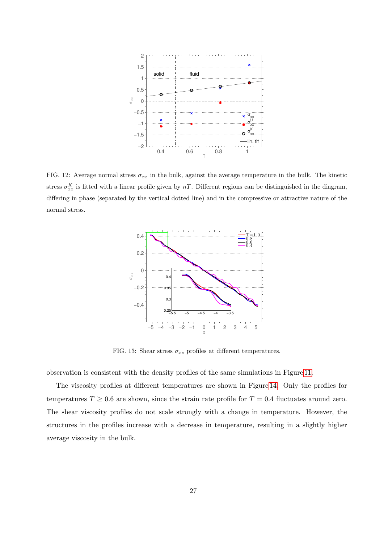

<span id="page-26-0"></span>FIG. 12: Average normal stress  $\sigma_{xx}$  in the bulk, against the average temperature in the bulk. The kinetic stress  $\sigma_{xx}^K$  is fitted with a linear profile given by nT. Different regions can be distinguished in the diagram, differing in phase (separated by the vertical dotted line) and in the compressive or attractive nature of the normal stress.



<span id="page-26-1"></span>FIG. 13: Shear stress  $\sigma_{xz}$  profiles at different temperatures.

observation is consistent with the density profiles of the same simulations in Figure [11.](#page-25-0)

The viscosity profiles at different temperatures are shown in Figure [14.](#page-27-1) Only the profiles for temperatures  $T \geq 0.6$  are shown, since the strain rate profile for  $T = 0.4$  fluctuates around zero. The shear viscosity profiles do not scale strongly with a change in temperature. However, the structures in the profiles increase with a decrease in temperature, resulting in a slightly higher average viscosity in the bulk.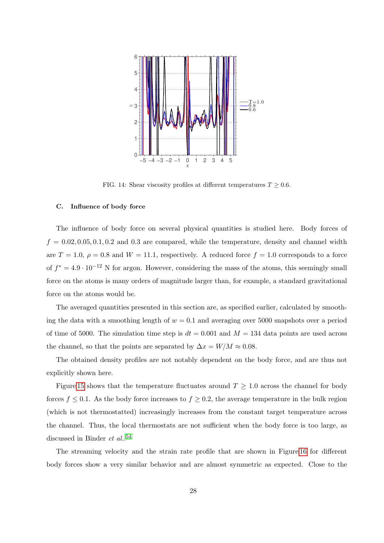

<span id="page-27-1"></span>FIG. 14: Shear viscosity profiles at different temperatures  $T \geq 0.6$ .

#### <span id="page-27-0"></span>C. Influence of body force

The influence of body force on several physical quantities is studied here. Body forces of  $f = 0.02, 0.05, 0.1, 0.2$  and 0.3 are compared, while the temperature, density and channel width are  $T = 1.0, \rho = 0.8$  and  $W = 11.1$ , respectively. A reduced force  $f = 1.0$  corresponds to a force of  $f^* = 4.9 \cdot 10^{-12}$  N for argon. However, considering the mass of the atoms, this seemingly small force on the atoms is many orders of magnitude larger than, for example, a standard gravitational force on the atoms would be.

The averaged quantities presented in this section are, as specified earlier, calculated by smoothing the data with a smoothing length of  $w = 0.1$  and averaging over 5000 snapshots over a period of time of 5000. The simulation time step is  $dt = 0.001$  and  $M = 134$  data points are used across the channel, so that the points are separated by  $\Delta x = W/M \approx 0.08$ .

The obtained density profiles are not notably dependent on the body force, and are thus not explicitly shown here.

Figure [15](#page-28-0) shows that the temperature fluctuates around  $T \geq 1.0$  across the channel for body forces  $f \leq 0.1$ . As the body force increases to  $f \geq 0.2$ , the average temperature in the bulk region (which is not thermostatted) increasingly increases from the constant target temperature across the channel. Thus, the local thermostats are not sufficient when the body force is too large, as discussed in Binder *et al.*.<sup>[54](#page-39-15)</sup>

The streaming velocity and the strain rate profile that are shown in Figure [16](#page-28-1) for different body forces show a very similar behavior and are almost symmetric as expected. Close to the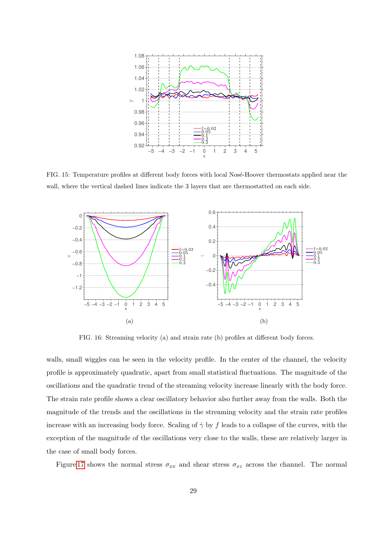

<span id="page-28-0"></span>FIG. 15: Temperature profiles at different body forces with local Nosé-Hoover thermostats applied near the wall, where the vertical dashed lines indicate the 3 layers that are thermostatted on each side.



<span id="page-28-1"></span>FIG. 16: Streaming velocity (a) and strain rate (b) profiles at different body forces.

walls, small wiggles can be seen in the velocity profile. In the center of the channel, the velocity profile is approximately quadratic, apart from small statistical fluctuations. The magnitude of the oscillations and the quadratic trend of the streaming velocity increase linearly with the body force. The strain rate profile shows a clear oscillatory behavior also further away from the walls. Both the magnitude of the trends and the oscillations in the streaming velocity and the strain rate profiles increase with an increasing body force. Scaling of  $\dot{\gamma}$  by  $f$  leads to a collapse of the curves, with the exception of the magnitude of the oscillations very close to the walls, these are relatively larger in the case of small body forces.

Figure [17](#page-29-0) shows the normal stress  $\sigma_{xx}$  and shear stress  $\sigma_{xz}$  across the channel. The normal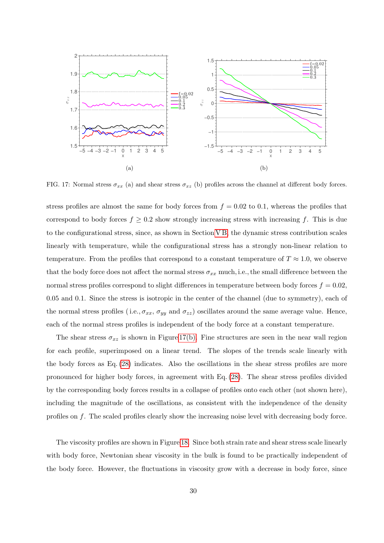

<span id="page-29-1"></span><span id="page-29-0"></span>FIG. 17: Normal stress  $\sigma_{xx}$  (a) and shear stress  $\sigma_{xz}$  (b) profiles across the channel at different body forces.

stress profiles are almost the same for body forces from  $f = 0.02$  to 0.1, whereas the profiles that correspond to body forces  $f \geq 0.2$  show strongly increasing stress with increasing f. This is due to the configurational stress, since, as shown in Section [V B,](#page-23-1) the dynamic stress contribution scales linearly with temperature, while the configurational stress has a strongly non-linear relation to temperature. From the profiles that correspond to a constant temperature of  $T \approx 1.0$ , we observe that the body force does not affect the normal stress  $\sigma_{xx}$  much, i.e., the small difference between the normal stress profiles correspond to slight differences in temperature between body forces  $f = 0.02$ , 0.05 and 0.1. Since the stress is isotropic in the center of the channel (due to symmetry), each of the normal stress profiles (i.e.,  $\sigma_{xx}$ ,  $\sigma_{yy}$  and  $\sigma_{zz}$ ) oscillates around the same average value. Hence, each of the normal stress profiles is independent of the body force at a constant temperature.

The shear stress  $\sigma_{xz}$  is shown in Figure [17\(b\).](#page-29-1) Fine structures are seen in the near wall region for each profile, superimposed on a linear trend. The slopes of the trends scale linearly with the body forces as Eq. [\(28\)](#page-21-0) indicates. Also the oscillations in the shear stress profiles are more pronounced for higher body forces, in agreement with Eq. [\(28\)](#page-21-0). The shear stress profiles divided by the corresponding body forces results in a collapse of profiles onto each other (not shown here), including the magnitude of the oscillations, as consistent with the independence of the density profiles on f. The scaled profiles clearly show the increasing noise level with decreasing body force.

The viscosity profiles are shown in Figure [18.](#page-30-1) Since both strain rate and shear stress scale linearly with body force, Newtonian shear viscosity in the bulk is found to be practically independent of the body force. However, the fluctuations in viscosity grow with a decrease in body force, since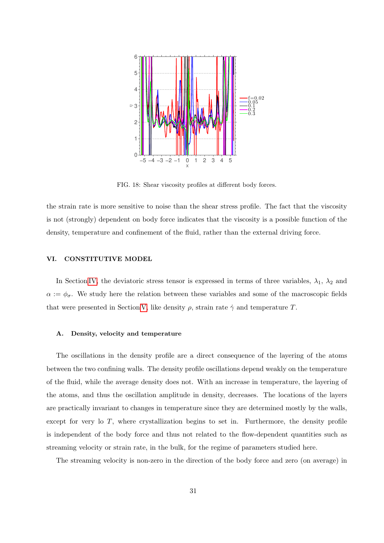

<span id="page-30-1"></span>FIG. 18: Shear viscosity profiles at different body forces.

the strain rate is more sensitive to noise than the shear stress profile. The fact that the viscosity is not (strongly) dependent on body force indicates that the viscosity is a possible function of the density, temperature and confinement of the fluid, rather than the external driving force.

## <span id="page-30-0"></span>VI. CONSTITUTIVE MODEL

In Section [IV,](#page-11-0) the deviatoric stress tensor is expressed in terms of three variables,  $\lambda_1$ ,  $\lambda_2$  and  $\alpha := \phi_{\sigma}$ . We study here the relation between these variables and some of the macroscopic fields that were presented in Section [V,](#page-15-0) like density  $\rho$ , strain rate  $\dot{\gamma}$  and temperature T.

### A. Density, velocity and temperature

The oscillations in the density profile are a direct consequence of the layering of the atoms between the two confining walls. The density profile oscillations depend weakly on the temperature of the fluid, while the average density does not. With an increase in temperature, the layering of the atoms, and thus the oscillation amplitude in density, decreases. The locations of the layers are practically invariant to changes in temperature since they are determined mostly by the walls, except for very lo  $T$ , where crystallization begins to set in. Furthermore, the density profile is independent of the body force and thus not related to the flow-dependent quantities such as streaming velocity or strain rate, in the bulk, for the regime of parameters studied here.

The streaming velocity is non-zero in the direction of the body force and zero (on average) in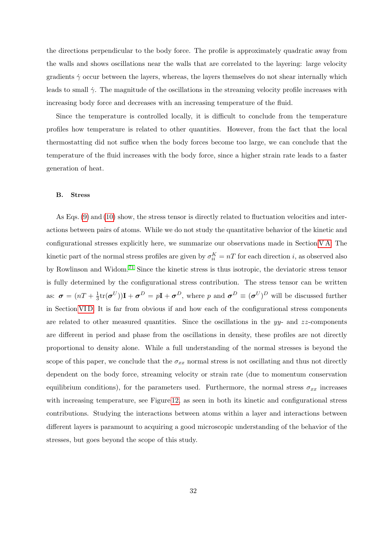the directions perpendicular to the body force. The profile is approximately quadratic away from the walls and shows oscillations near the walls that are correlated to the layering: large velocity gradients  $\dot{\gamma}$  occur between the layers, whereas, the layers themselves do not shear internally which leads to small  $\dot{\gamma}$ . The magnitude of the oscillations in the streaming velocity profile increases with increasing body force and decreases with an increasing temperature of the fluid.

Since the temperature is controlled locally, it is difficult to conclude from the temperature profiles how temperature is related to other quantities. However, from the fact that the local thermostatting did not suffice when the body forces become too large, we can conclude that the temperature of the fluid increases with the body force, since a higher strain rate leads to a faster generation of heat.

#### <span id="page-31-0"></span>B. Stress

As Eqs. [\(9\)](#page-9-0) and [\(10\)](#page-9-1) show, the stress tensor is directly related to fluctuation velocities and interactions between pairs of atoms. While we do not study the quantitative behavior of the kinetic and configurational stresses explicitly here, we summarize our observations made in Section [V A:](#page-16-0) The kinetic part of the normal stress profiles are given by  $\sigma_{ii}^K = nT$  for each direction *i*, as observed also by Rowlinson and Widom.[71](#page-40-6) Since the kinetic stress is thus isotropic, the deviatoric stress tensor is fully determined by the configurational stress contribution. The stress tensor can be written as:  $\sigma = (nT + \frac{1}{3})$  $\frac{1}{3}$ tr $(\boldsymbol{\sigma}^{U})$ )**I** +  $\boldsymbol{\sigma}^{D} = p$ **I** +  $\boldsymbol{\sigma}^{D}$ , where p and  $\boldsymbol{\sigma}^{D} \equiv (\boldsymbol{\sigma}^{U})^{D}$  will be discussed further in Section [VI D.](#page-32-0) It is far from obvious if and how each of the configurational stress components are related to other measured quantities. Since the oscillations in the  $yy$ - and  $zz$ -components are different in period and phase from the oscillations in density, these profiles are not directly proportional to density alone. While a full understanding of the normal stresses is beyond the scope of this paper, we conclude that the  $\sigma_{xx}$  normal stress is not oscillating and thus not directly dependent on the body force, streaming velocity or strain rate (due to momentum conservation equilibrium conditions), for the parameters used. Furthermore, the normal stress  $\sigma_{xx}$  increases with increasing temperature, see Figure [12,](#page-26-0) as seen in both its kinetic and configurational stress contributions. Studying the interactions between atoms within a layer and interactions between different layers is paramount to acquiring a good microscopic understanding of the behavior of the stresses, but goes beyond the scope of this study.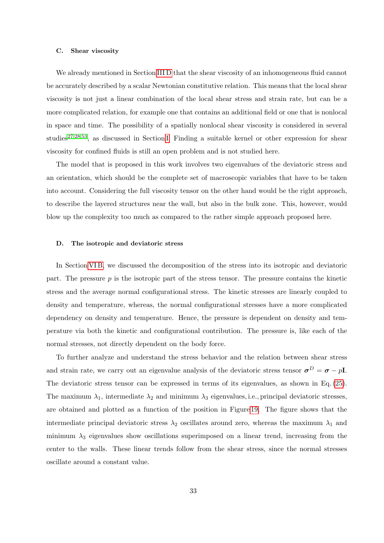#### C. Shear viscosity

We already mentioned in Section [III D](#page-9-3) that the shear viscosity of an inhomogeneous fluid cannot be accurately described by a scalar Newtonian constitutive relation. This means that the local shear viscosity is not just a linear combination of the local shear stress and strain rate, but can be a more complicated relation, for example one that contains an additional field or one that is nonlocal in space and time. The possibility of a spatially nonlocal shear viscosity is considered in several studies<sup>[27,](#page-38-16)[28](#page-38-17)[,53](#page-39-14)</sup>, as discussed in Section [I.](#page-1-0) Finding a suitable kernel or other expression for shear viscosity for confined fluids is still an open problem and is not studied here.

The model that is proposed in this work involves two eigenvalues of the deviatoric stress and an orientation, which should be the complete set of macroscopic variables that have to be taken into account. Considering the full viscosity tensor on the other hand would be the right approach, to describe the layered structures near the wall, but also in the bulk zone. This, however, would blow up the complexity too much as compared to the rather simple approach proposed here.

#### <span id="page-32-0"></span>D. The isotropic and deviatoric stress

In Section [VI B,](#page-31-0) we discussed the decomposition of the stress into its isotropic and deviatoric part. The pressure  $p$  is the isotropic part of the stress tensor. The pressure contains the kinetic stress and the average normal configurational stress. The kinetic stresses are linearly coupled to density and temperature, whereas, the normal configurational stresses have a more complicated dependency on density and temperature. Hence, the pressure is dependent on density and temperature via both the kinetic and configurational contribution. The pressure is, like each of the normal stresses, not directly dependent on the body force.

To further analyze and understand the stress behavior and the relation between shear stress and strain rate, we carry out an eigenvalue analysis of the deviatoric stress tensor  $\sigma^D = \sigma - pI$ . The deviatoric stress tensor can be expressed in terms of its eigenvalues, as shown in Eq. [\(25\)](#page-13-2). The maximum  $\lambda_1$ , intermediate  $\lambda_2$  and minimum  $\lambda_3$  eigenvalues, i.e., principal deviatoric stresses, are obtained and plotted as a function of the position in Figure [19.](#page-33-0) The figure shows that the intermediate principal deviatoric stress  $\lambda_2$  oscillates around zero, whereas the maximum  $\lambda_1$  and minimum  $\lambda_3$  eigenvalues show oscillations superimposed on a linear trend, increasing from the center to the walls. These linear trends follow from the shear stress, since the normal stresses oscillate around a constant value.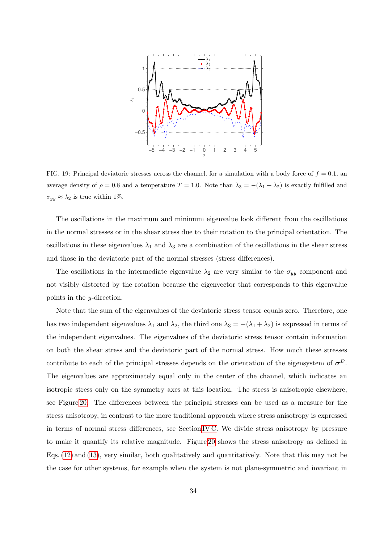

<span id="page-33-0"></span>FIG. 19: Principal deviatoric stresses across the channel, for a simulation with a body force of  $f = 0.1$ , and average density of  $\rho = 0.8$  and a temperature  $T = 1.0$ . Note than  $\lambda_3 = -(\lambda_1 + \lambda_2)$  is exactly fulfilled and  $\sigma_{yy} \approx \lambda_2$  is true within 1%.

The oscillations in the maximum and minimum eigenvalue look different from the oscillations in the normal stresses or in the shear stress due to their rotation to the principal orientation. The oscillations in these eigenvalues  $\lambda_1$  and  $\lambda_3$  are a combination of the oscillations in the shear stress and those in the deviatoric part of the normal stresses (stress differences).

The oscillations in the intermediate eigenvalue  $\lambda_2$  are very similar to the  $\sigma_{yy}$  component and not visibly distorted by the rotation because the eigenvector that corresponds to this eigenvalue points in the y-direction.

Note that the sum of the eigenvalues of the deviatoric stress tensor equals zero. Therefore, one has two independent eigenvalues  $\lambda_1$  and  $\lambda_2$ , the third one  $\lambda_3 = -(\lambda_1 + \lambda_2)$  is expressed in terms of the independent eigenvalues. The eigenvalues of the deviatoric stress tensor contain information on both the shear stress and the deviatoric part of the normal stress. How much these stresses contribute to each of the principal stresses depends on the orientation of the eigensystem of  $\sigma^D$ . The eigenvalues are approximately equal only in the center of the channel, which indicates an isotropic stress only on the symmetry axes at this location. The stress is anisotropic elsewhere, see Figure [20.](#page-34-0) The differences between the principal stresses can be used as a measure for the stress anisotropy, in contrast to the more traditional approach where stress anisotropy is expressed in terms of normal stress differences, see Section [IV C.](#page-14-0) We divide stress anisotropy by pressure to make it quantify its relative magnitude. Figure [20](#page-34-0) shows the stress anisotropy as defined in Eqs. [\(12\)](#page-10-0) and [\(13\)](#page-10-1), very similar, both qualitatively and quantitatively. Note that this may not be the case for other systems, for example when the system is not plane-symmetric and invariant in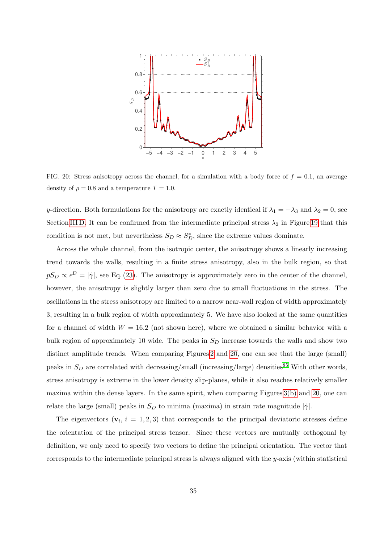

<span id="page-34-0"></span>FIG. 20: Stress anisotropy across the channel, for a simulation with a body force of  $f = 0.1$ , an average density of  $\rho = 0.8$  and a temperature  $T = 1.0$ .

y-direction. Both formulations for the anisotropy are exactly identical if  $\lambda_1 = -\lambda_3$  and  $\lambda_2 = 0$ , see Section [III D.](#page-9-3) It can be confirmed from the intermediate principal stress  $\lambda_2$  in Figure [19](#page-33-0) that this condition is not met, but nevertheless  $S_D \approx S_D^*$ , since the extreme values dominate.

Across the whole channel, from the isotropic center, the anisotropy shows a linearly increasing trend towards the walls, resulting in a finite stress anisotropy, also in the bulk region, so that  $pS_D \propto \epsilon^D = |\dot{\gamma}|$ , see Eq. [\(23\)](#page-13-0). The anisotropy is approximately zero in the center of the channel, however, the anisotropy is slightly larger than zero due to small fluctuations in the stress. The oscillations in the stress anisotropy are limited to a narrow near-wall region of width approximately 3, resulting in a bulk region of width approximately 5. We have also looked at the same quantities for a channel of width  $W = 16.2$  (not shown here), where we obtained a similar behavior with a bulk region of approximately 10 wide. The peaks in  $S_D$  increase towards the walls and show two distinct amplitude trends. When comparing Figures [2](#page-17-0) and [20,](#page-34-0) one can see that the large (small) peaks in  $S_D$  are correlated with decreasing/small (increasing/large) densities<sup>[85](#page-40-19)</sup> With other words, stress anisotropy is extreme in the lower density slip-planes, while it also reaches relatively smaller maxima within the dense layers. In the same spirit, when comparing Figures  $3(b)$  and  $20$ , one can relate the large (small) peaks in  $S_D$  to minima (maxima) in strain rate magnitude  $|\dot{\gamma}|$ .

The eigenvectors  $(v_i, i = 1, 2, 3)$  that corresponds to the principal deviatoric stresses define the orientation of the principal stress tensor. Since these vectors are mutually orthogonal by definition, we only need to specify two vectors to define the principal orientation. The vector that corresponds to the intermediate principal stress is always aligned with the  $y$ -axis (within statistical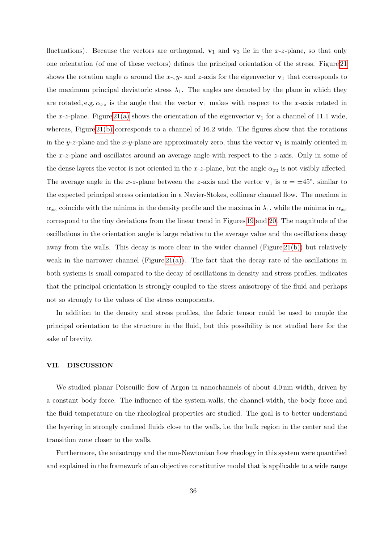fluctuations). Because the vectors are orthogonal,  $v_1$  and  $v_3$  lie in the x-z-plane, so that only one orientation (of one of these vectors) defines the principal orientation of the stress. Figure [21](#page-36-0) shows the rotation angle  $\alpha$  around the x-, y- and z-axis for the eigenvector  $\mathbf{v}_1$  that corresponds to the maximum principal deviatoric stress  $\lambda_1$ . The angles are denoted by the plane in which they are rotated, e.g.  $\alpha_{xz}$  is the angle that the vector  $v_1$  makes with respect to the x-axis rotated in the x-z-plane. Figure [21\(a\)](#page-36-1) shows the orientation of the eigenvector  $v_1$  for a channel of 11.1 wide, whereas, Figure [21\(b\)](#page-36-2) corresponds to a channel of 16.2 wide. The figures show that the rotations in the y-z-plane and the x-y-plane are approximately zero, thus the vector  $\mathbf{v}_1$  is mainly oriented in the x-z-plane and oscillates around an average angle with respect to the z-axis. Only in some of the dense layers the vector is not oriented in the x-z-plane, but the angle  $\alpha_{xz}$  is not visibly affected. The average angle in the x-z-plane between the z-axis and the vector  $\mathbf{v}_1$  is  $\alpha = \pm 45^{\circ}$ , similar to the expected principal stress orientation in a Navier-Stokes, collinear channel flow. The maxima in  $\alpha_{xz}$  coincide with the minima in the density profile and the maxima in  $\lambda_1$ , while the minima in  $\alpha_{xz}$ correspond to the tiny deviations from the linear trend in Figures [19](#page-33-0) and [20.](#page-34-0) The magnitude of the oscillations in the orientation angle is large relative to the average value and the oscillations decay away from the walls. This decay is more clear in the wider channel (Figure [21\(b\)\)](#page-36-2) but relatively weak in the narrower channel (Figure [21\(a\)\)](#page-36-1). The fact that the decay rate of the oscillations in both systems is small compared to the decay of oscillations in density and stress profiles, indicates that the principal orientation is strongly coupled to the stress anisotropy of the fluid and perhaps not so strongly to the values of the stress components.

In addition to the density and stress profiles, the fabric tensor could be used to couple the principal orientation to the structure in the fluid, but this possibility is not studied here for the sake of brevity.

#### <span id="page-35-0"></span>VII. DISCUSSION

We studied planar Poiseuille flow of Argon in nanochannels of about 4.0 nm width, driven by a constant body force. The influence of the system-walls, the channel-width, the body force and the fluid temperature on the rheological properties are studied. The goal is to better understand the layering in strongly confined fluids close to the walls, i.e. the bulk region in the center and the transition zone closer to the walls.

Furthermore, the anisotropy and the non-Newtonian flow rheology in this system were quantified and explained in the framework of an objective constitutive model that is applicable to a wide range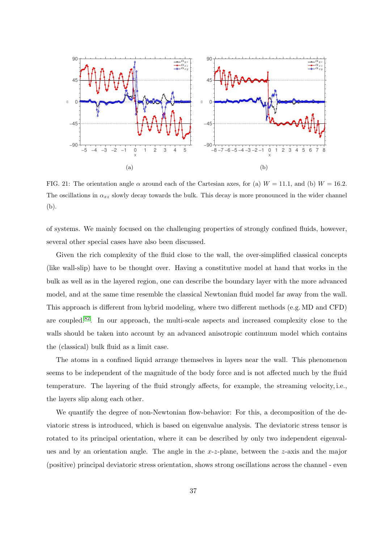<span id="page-36-1"></span>

<span id="page-36-2"></span><span id="page-36-0"></span>FIG. 21: The orientation angle  $\alpha$  around each of the Cartesian axes, for (a)  $W = 11.1$ , and (b)  $W = 16.2$ . The oscillations in  $\alpha_{xz}$  slowly decay towards the bulk. This decay is more pronounced in the wider channel (b).

of systems. We mainly focused on the challenging properties of strongly confined fluids, however, several other special cases have also been discussed.

Given the rich complexity of the fluid close to the wall, the over-simplified classical concepts (like wall-slip) have to be thought over. Having a constitutive model at hand that works in the bulk as well as in the layered region, one can describe the boundary layer with the more advanced model, and at the same time resemble the classical Newtonian fluid model far away from the wall. This approach is different from hybrid modeling, where two different methods (e.g. MD and CFD) are coupled.[82](#page-40-20). In our approach, the multi-scale aspects and increased complexity close to the walls should be taken into account by an advanced anisotropic continuum model which contains the (classical) bulk fluid as a limit case.

The atoms in a confined liquid arrange themselves in layers near the wall. This phenomenon seems to be independent of the magnitude of the body force and is not affected much by the fluid temperature. The layering of the fluid strongly affects, for example, the streaming velocity, i.e., the layers slip along each other.

We quantify the degree of non-Newtonian flow-behavior: For this, a decomposition of the deviatoric stress is introduced, which is based on eigenvalue analysis. The deviatoric stress tensor is rotated to its principal orientation, where it can be described by only two independent eigenvalues and by an orientation angle. The angle in the  $x-z$ -plane, between the z-axis and the major (positive) principal deviatoric stress orientation, shows strong oscillations across the channel - even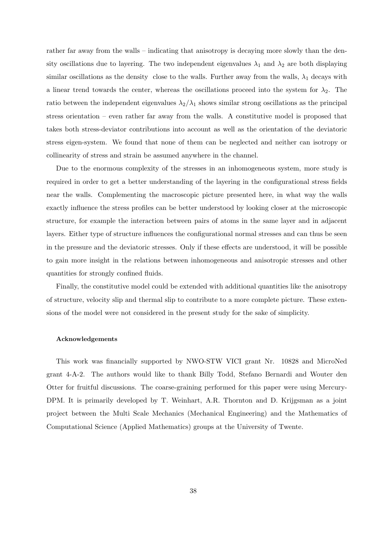rather far away from the walls – indicating that anisotropy is decaying more slowly than the density oscillations due to layering. The two independent eigenvalues  $\lambda_1$  and  $\lambda_2$  are both displaying similar oscillations as the density close to the walls. Further away from the walls,  $\lambda_1$  decays with a linear trend towards the center, whereas the oscillations proceed into the system for  $\lambda_2$ . The ratio between the independent eigenvalues  $\lambda_2/\lambda_1$  shows similar strong oscillations as the principal stress orientation – even rather far away from the walls. A constitutive model is proposed that takes both stress-deviator contributions into account as well as the orientation of the deviatoric stress eigen-system. We found that none of them can be neglected and neither can isotropy or collinearity of stress and strain be assumed anywhere in the channel.

Due to the enormous complexity of the stresses in an inhomogeneous system, more study is required in order to get a better understanding of the layering in the configurational stress fields near the walls. Complementing the macroscopic picture presented here, in what way the walls exactly influence the stress profiles can be better understood by looking closer at the microscopic structure, for example the interaction between pairs of atoms in the same layer and in adjacent layers. Either type of structure influences the configurational normal stresses and can thus be seen in the pressure and the deviatoric stresses. Only if these effects are understood, it will be possible to gain more insight in the relations between inhomogeneous and anisotropic stresses and other quantities for strongly confined fluids.

Finally, the constitutive model could be extended with additional quantities like the anisotropy of structure, velocity slip and thermal slip to contribute to a more complete picture. These extensions of the model were not considered in the present study for the sake of simplicity.

### Acknowledgements

This work was financially supported by NWO-STW VICI grant Nr. 10828 and MicroNed grant 4-A-2. The authors would like to thank Billy Todd, Stefano Bernardi and Wouter den Otter for fruitful discussions. The coarse-graining performed for this paper were using Mercury-DPM. It is primarily developed by T. Weinhart, A.R. Thornton and D. Krijgsman as a joint project between the Multi Scale Mechanics (Mechanical Engineering) and the Mathematics of Computational Science (Applied Mathematics) groups at the University of Twente.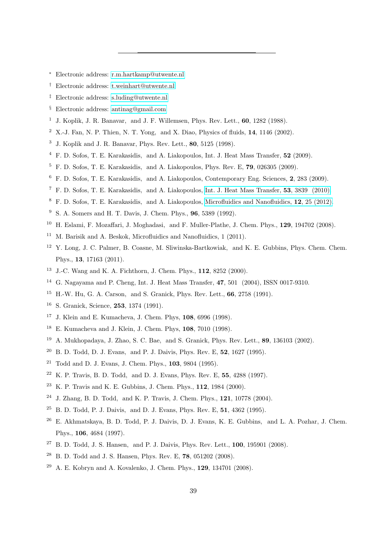- <span id="page-38-0"></span><sup>∗</sup> Electronic address: [r.m.hartkamp@utwente.nl](mailto:r.m.hartkamp@utwente.nl)
- <span id="page-38-1"></span>† Electronic address: [t.weinhart@utwente.nl](mailto:t.weinhart@utwente.nl)
- <span id="page-38-2"></span>‡ Electronic address: [s.luding@utwente.nl](mailto:s.luding@utwente.nl)
- <span id="page-38-3"></span>§ Electronic address: [antinag@gmail.com](mailto:antinag@gmail.com)
- <span id="page-38-4"></span><sup>1</sup> J. Koplik, J. R. Banavar, and J. F. Willemsen, Phys. Rev. Lett., **60**, 1282 (1988).
- <sup>2</sup> X.-J. Fan, N. P. Thien, N. T. Yong, and X. Diao, Physics of fluids,  $14$ ,  $1146$  (2002).
- <span id="page-38-9"></span>J. Koplik and J. R. Banavar, Phys. Rev. Lett., 80, 5125 (1998).
- <span id="page-38-18"></span>F. D. Sofos, T. E. Karakasidis, and A. Liakopoulos, Int. J. Heat Mass Transfer, 52 (2009).
- F. D. Sofos, T. E. Karakasidis, and A. Liakopoulos, Phys. Rev. E, 79, 026305 (2009).
- <span id="page-38-12"></span>F. D. Sofos, T. E. Karakasidis, and A. Liakopoulos, Contemporary Eng. Sciences, 2, 283 (2009).
- <span id="page-38-19"></span>F. D. Sofos, T. E. Karakasidis, and A. Liakopoulos, [Int. J. Heat Mass Transfer,](http://www.sciencedirect.com/science/article/pii/S0017931010002346) 53, 3839 (2010).
- F. D. Sofos, T. E. Karakasidis, and A. Liakopoulos, [Microfluidics and Nanofluidics,](http://dx.doi.org/10.1007/s10404-011-0845-y) 12, 25 (2012).
- S. A. Somers and H. T. Davis, J. Chem. Phys., 96, 5389 (1992).
- H. Eslami, F. Mozaffari, J. Moghadasi, and F. Muller-Plathe, J. Chem. Phys., 129, 194702 (2008).
- <sup>11</sup> M. Barisik and A. Beskok, Microfluidics and Nanofluidics, 1 (2011).
- <span id="page-38-13"></span> Y. Long, J. C. Palmer, B. Coasne, M. Sliwinska-Bartkowiak, and K. E. Gubbins, Phys. Chem. Chem. Phys., 13, 17163 (2011).
- J.-C. Wang and K. A. Fichthorn, J. Chem. Phys., 112, 8252 (2000).
- <span id="page-38-5"></span>G. Nagayama and P. Cheng, Int. J. Heat Mass Transfer, 47, 501 (2004), ISSN 0017-9310.
- <span id="page-38-6"></span>H.-W. Hu, G. A. Carson, and S. Granick, Phys. Rev. Lett., 66, 2758 (1991).
- <span id="page-38-11"></span>S. Granick, Science, 253, 1374 (1991).
- J. Klein and E. Kumacheva, J. Chem. Phys, 108, 6996 (1998).
- E. Kumacheva and J. Klein, J. Chem. Phys, 108, 7010 (1998).
- <span id="page-38-8"></span><span id="page-38-7"></span>A. Mukhopadaya, J. Zhao, S. C. Bae, and S. Granick, Phys. Rev. Lett., 89, 136103 (2002).
- <span id="page-38-21"></span>B. D. Todd, D. J. Evans, and P. J. Daivis, Phys. Rev. E, 52, 1627 (1995).
- <span id="page-38-10"></span><sup>21</sup> Todd and D. J. Evans, J. Chem. Phys.,  $103$ ,  $9804$  (1995).
- K. P. Travis, B. D. Todd, and D. J. Evans, Phys. Rev. E, 55, 4288 (1997).
- <span id="page-38-14"></span>K. P. Travis and K. E. Gubbins, J. Chem. Phys., 112, 1984 (2000).
- <span id="page-38-15"></span>J. Zhang, B. D. Todd, and K. P. Travis, J. Chem. Phys., 121, 10778 (2004).
- <sup>25</sup> B. D. Todd, P. J. Daivis, and D. J. Evans, Phys. Rev. E, **51**, 4362 (1995).
- E. Akhmatskaya, B. D. Todd, P. J. Daivis, D. J. Evans, K. E. Gubbins, and L. A. Pozhar, J. Chem. Phys., 106, 4684 (1997).
- <span id="page-38-16"></span>B. D. Todd, J. S. Hansen, and P. J. Daivis, Phys. Rev. Lett., 100, 195901 (2008).
- <span id="page-38-17"></span>B. D. Todd and J. S. Hansen, Phys. Rev. E, 78, 051202 (2008).
- <span id="page-38-20"></span>A. E. Kobryn and A. Kovalenko, J. Chem. Phys., 129, 134701 (2008).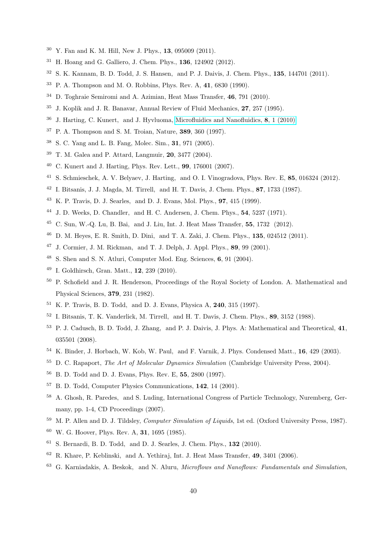- Y. Fan and K. M. Hill, New J. Phys., 13, 095009 (2011).
- <span id="page-39-0"></span>H. Hoang and G. Galliero, J. Chem. Phys., 136, 124902 (2012).
- <span id="page-39-1"></span>S. K. Kannam, B. D. Todd, J. S. Hansen, and P. J. Daivis, J. Chem. Phys., 135, 144701 (2011).
- P. A. Thompson and M. O. Robbins, Phys. Rev. A, 41, 6830 (1990).
- <span id="page-39-22"></span>D. Toghraie Semiromi and A. Azimian, Heat Mass Transfer, 46, 791 (2010).
- J. Koplik and J. R. Banavar, Annual Review of Fluid Mechanics, 27, 257 (1995).
- J. Harting, C. Kunert, and J. Hyvluoma, [Microfluidics and Nanofluidics,](http://dx.doi.org/10.1007/s10404-009-0506-6) 8, 1 (2010).
- P. A. Thompson and S. M. Troian, Nature, 389, 360 (1997).
- S. C. Yang and L. B. Fang, Molec. Sim., 31, 971 (2005).
- T. M. Galea and P. Attard, Langmuir, 20, 3477 (2004).
- C. Kunert and J. Harting, Phys. Rev. Lett., 99, 176001 (2007).
- <span id="page-39-2"></span>S. Schmieschek, A. V. Belyaev, J. Harting, and O. I. Vinogradova, Phys. Rev. E, 85, 016324 (2012).
- <span id="page-39-3"></span>I. Bitsanis, J. J. Magda, M. Tirrell, and H. T. Davis, J. Chem. Phys., 87, 1733 (1987).
- <span id="page-39-4"></span>K. P. Travis, D. J. Searles, and D. J. Evans, Mol. Phys., 97, 415 (1999).
- <span id="page-39-5"></span>J. D. Weeks, D. Chandler, and H. C. Andersen, J. Chem. Phys., 54, 5237 (1971).
- <span id="page-39-6"></span>C. Sun, W.-Q. Lu, B. Bai, and J. Liu, Int. J. Heat Mass Transfer, 55, 1732 (2012).
- <span id="page-39-7"></span>D. M. Heyes, E. R. Smith, D. Dini, and T. A. Zaki, J. Chem. Phys., 135, 024512 (2011).
- <span id="page-39-8"></span>J. Cormier, J. M. Rickman, and T. J. Delph, J. Appl. Phys., 89, 99 (2001).
- <span id="page-39-9"></span>S. Shen and S. N. Atluri, Computer Mod. Eng. Sciences, 6, 91 (2004).
- <span id="page-39-10"></span>I. Goldhirsch, Gran. Matt., 12, 239 (2010).
- <span id="page-39-11"></span> P. Schofield and J. R. Henderson, Proceedings of the Royal Society of London. A. Mathematical and Physical Sciences, 379, 231 (1982).
- <span id="page-39-12"></span>K. P. Travis, B. D. Todd, and D. J. Evans, Physica A, 240, 315 (1997).
- <span id="page-39-13"></span>I. Bitsanis, T. K. Vanderlick, M. Tirrell, and H. T. Davis, J. Chem. Phys., 89, 3152 (1988).
- <span id="page-39-14"></span> P. J. Cadusch, B. D. Todd, J. Zhang, and P. J. Daivis, J. Phys. A: Mathematical and Theoretical, 41, 035501 (2008).
- <span id="page-39-15"></span>K. Binder, J. Horbach, W. Kob, W. Paul, and F. Varnik, J. Phys. Condensed Matt., 16, 429 (2003).
- D. C. Rapaport, *The Art of Molecular Dynamics Simulation* (Cambridge University Press, 2004).
- B. D. Todd and D. J. Evans, Phys. Rev. E, 55, 2800 (1997).
- B. D. Todd, Computer Physics Communications, 142, 14 (2001).
- <span id="page-39-16"></span> A. Ghosh, R. Paredes, and S. Luding, International Congress of Particle Technology, Nuremberg, Germany, pp. 1-4, CD Proceedings  $(2007)$ .
- <span id="page-39-17"></span><sup>59</sup> M. P. Allen and D. J. Tildsley, *Computer Simulation of Liquids*, 1st ed. (Oxford University Press, 1987).
- <span id="page-39-18"></span>W. G. Hoover, Phys. Rev. A, 31, 1695 (1985).
- <span id="page-39-19"></span>S. Bernardi, B. D. Todd, and D. J. Searles, J. Chem. Phys.,  $132$  (2010).
- <span id="page-39-20"></span>R. Khare, P. Keblinski, and A. Yethiraj, Int. J. Heat Mass Transfer, 49, 3401 (2006).
- <span id="page-39-21"></span>G. Karniadakis, A. Beskok, and N. Aluru, Microflows and Nanoflows: Fundamentals and Simulation,